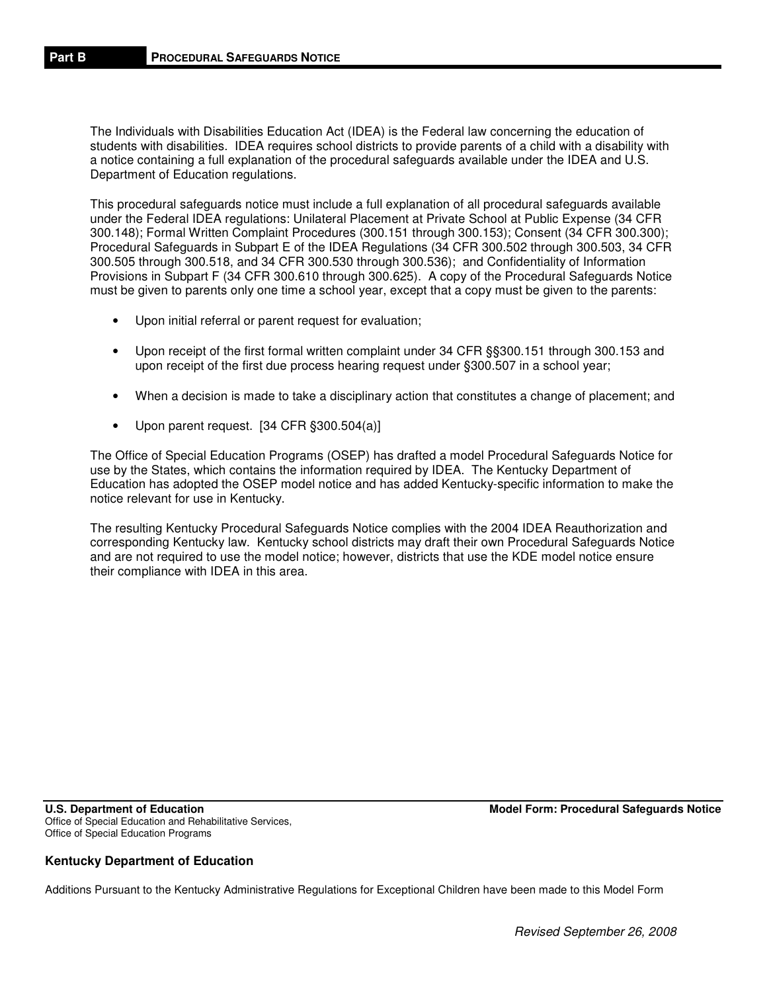The Individuals with Disabilities Education Act (IDEA) is the Federal law concerning the education of students with disabilities. IDEA requires school districts to provide parents of a child with a disability with a notice containing a full explanation of the procedural safeguards available under the IDEA and U.S. Department of Education regulations.

This procedural safeguards notice must include a full explanation of all procedural safeguards available under the Federal IDEA regulations: Unilateral Placement at Private School at Public Expense (34 CFR 300.148); Formal Written Complaint Procedures (300.151 through 300.153); Consent (34 CFR 300.300); Procedural Safeguards in Subpart E of the IDEA Regulations (34 CFR 300.502 through 300.503, 34 CFR 300.505 through 300.518, and 34 CFR 300.530 through 300.536); and Confidentiality of Information Provisions in Subpart F (34 CFR 300.610 through 300.625). A copy of the Procedural Safeguards Notice must be given to parents only one time a school year, except that a copy must be given to the parents:

- Upon initial referral or parent request for evaluation;
- Upon receipt of the first formal written complaint under 34 CFR §§300.151 through 300.153 and upon receipt of the first due process hearing request under §300.507 in a school year;
- When a decision is made to take a disciplinary action that constitutes a change of placement; and
- Upon parent request. [34 CFR §300.504(a)]

The Office of Special Education Programs (OSEP) has drafted a model Procedural Safeguards Notice for use by the States, which contains the information required by IDEA. The Kentucky Department of Education has adopted the OSEP model notice and has added Kentucky-specific information to make the notice relevant for use in Kentucky.

The resulting Kentucky Procedural Safeguards Notice complies with the 2004 IDEA Reauthorization and corresponding Kentucky law. Kentucky school districts may draft their own Procedural Safeguards Notice and are not required to use the model notice; however, districts that use the KDE model notice ensure their compliance with IDEA in this area.

**U.S. Department of Education Model Form: Procedural Safeguards Notice**  Office of Special Education and Rehabilitative Services, Office of Special Education Programs

# **Kentucky Department of Education**

Additions Pursuant to the Kentucky Administrative Regulations for Exceptional Children have been made to this Model Form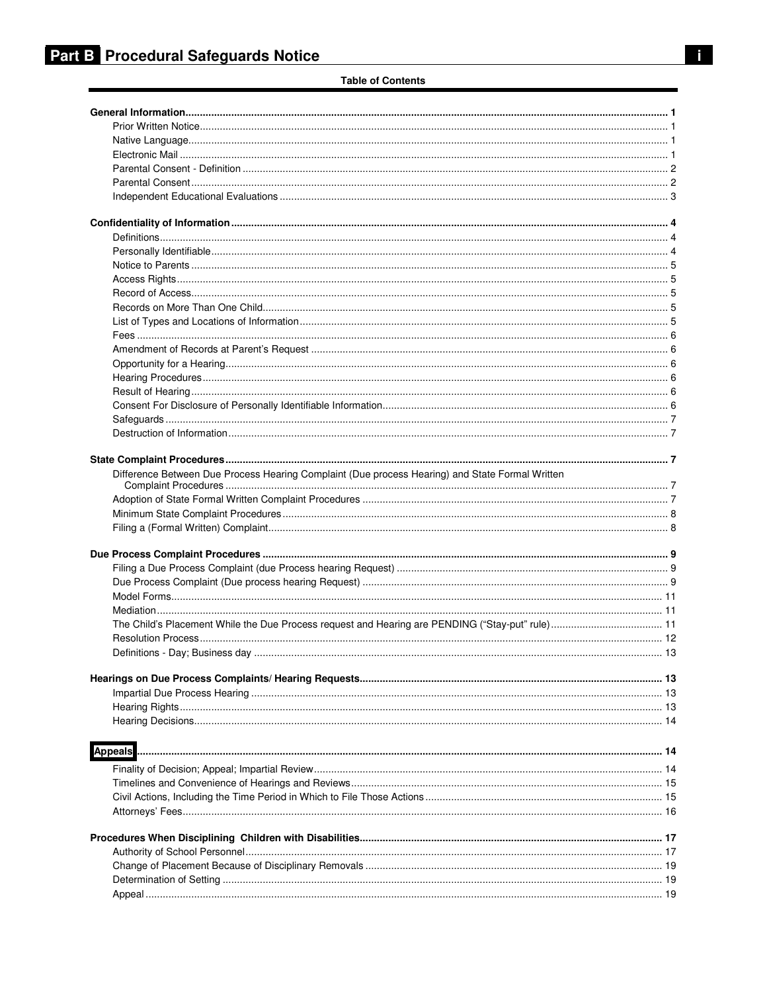**Table of Contents** 

| Difference Between Due Process Hearing Complaint (Due process Hearing) and State Formal Written |  |
|-------------------------------------------------------------------------------------------------|--|
|                                                                                                 |  |
|                                                                                                 |  |
|                                                                                                 |  |
|                                                                                                 |  |
|                                                                                                 |  |
|                                                                                                 |  |
|                                                                                                 |  |
|                                                                                                 |  |
|                                                                                                 |  |
|                                                                                                 |  |
|                                                                                                 |  |
|                                                                                                 |  |
|                                                                                                 |  |
|                                                                                                 |  |
|                                                                                                 |  |
|                                                                                                 |  |
|                                                                                                 |  |
|                                                                                                 |  |
|                                                                                                 |  |
|                                                                                                 |  |
|                                                                                                 |  |
|                                                                                                 |  |
|                                                                                                 |  |
|                                                                                                 |  |
|                                                                                                 |  |
|                                                                                                 |  |
|                                                                                                 |  |
|                                                                                                 |  |
|                                                                                                 |  |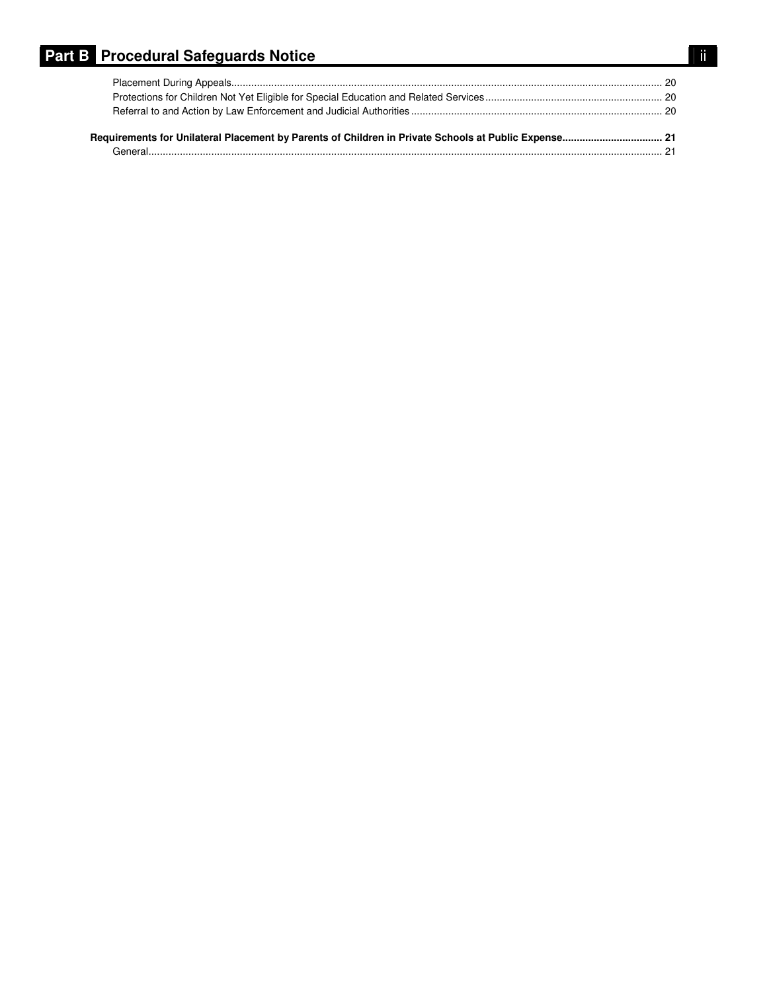| Requirements for Unilateral Placement by Parents of Children in Private Schools at Public Expense………………………………………………… |  |
|----------------------------------------------------------------------------------------------------------------------|--|
|                                                                                                                      |  |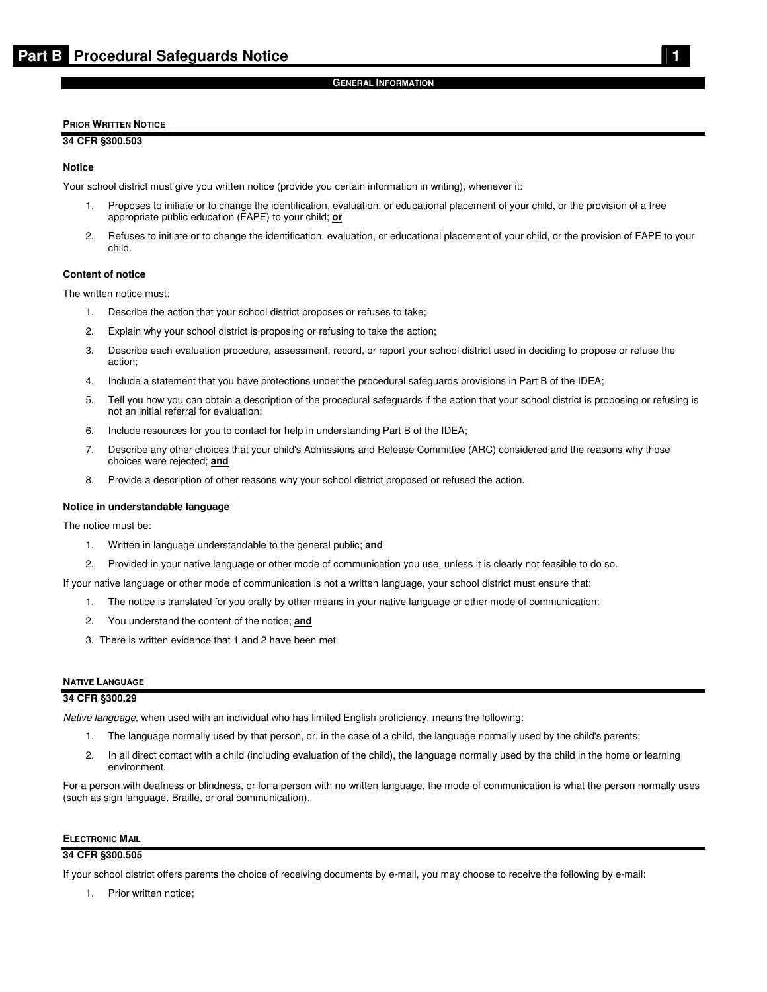#### **GENERAL INFORMATION**

# **PRIOR WRITTEN NOTICE**

**34 CFR §300.503** 

# **Notice**

Your school district must give you written notice (provide you certain information in writing), whenever it:

- 1. Proposes to initiate or to change the identification, evaluation, or educational placement of your child, or the provision of a free appropriate public education (FAPE) to your child; **or**
- 2. Refuses to initiate or to change the identification, evaluation, or educational placement of your child, or the provision of FAPE to your child.

# **Content of notice**

The written notice must:

- 1. Describe the action that your school district proposes or refuses to take;
- 2. Explain why your school district is proposing or refusing to take the action;
- 3. Describe each evaluation procedure, assessment, record, or report your school district used in deciding to propose or refuse the action;
- 4. Include a statement that you have protections under the procedural safeguards provisions in Part B of the IDEA;
- 5. Tell you how you can obtain a description of the procedural safeguards if the action that your school district is proposing or refusing is not an initial referral for evaluation;
- 6. Include resources for you to contact for help in understanding Part B of the IDEA;
- 7. Describe any other choices that your child's Admissions and Release Committee (ARC) considered and the reasons why those choices were rejected; **and**
- 8. Provide a description of other reasons why your school district proposed or refused the action.

#### **Notice in understandable language**

The notice must be:

- 1. Written in language understandable to the general public; **and**
- 2. Provided in your native language or other mode of communication you use, unless it is clearly not feasible to do so.

If your native language or other mode of communication is not a written language, your school district must ensure that:

- 1. The notice is translated for you orally by other means in your native language or other mode of communication;
- 2. You understand the content of the notice; **and**
- 3. There is written evidence that 1 and 2 have been met.

# **NATIVE LANGUAGE**

# **34 CFR §300.29**

Native language, when used with an individual who has limited English proficiency, means the following:

- 1. The language normally used by that person, or, in the case of a child, the language normally used by the child's parents;
- 2. In all direct contact with a child (including evaluation of the child), the language normally used by the child in the home or learning environment.

For a person with deafness or blindness, or for a person with no written language, the mode of communication is what the person normally uses (such as sign language, Braille, or oral communication).

#### **ELECTRONIC MAIL**

# **34 CFR §300.505**

If your school district offers parents the choice of receiving documents by e-mail, you may choose to receive the following by e-mail:

1. Prior written notice;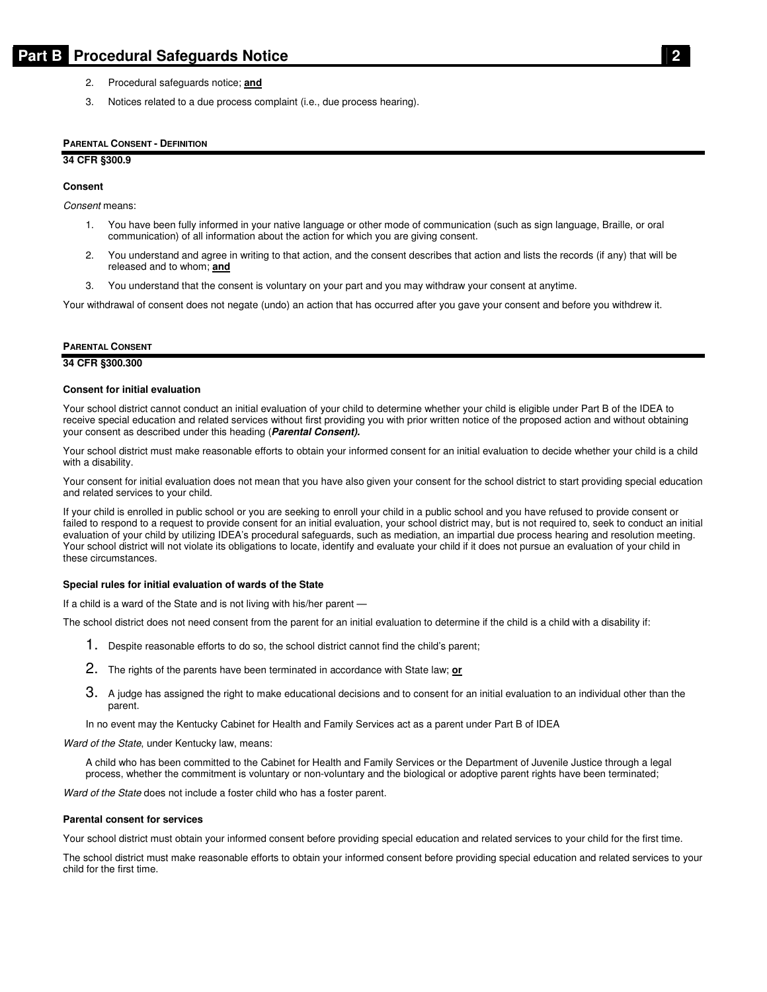- 2. Procedural safeguards notice; **and**
- 3. Notices related to a due process complaint (i.e., due process hearing).

# **PARENTAL CONSENT - DEFINITION**

# **34 CFR §300.9**

# **Consent**

Consent means:

- 1. You have been fully informed in your native language or other mode of communication (such as sign language, Braille, or oral communication) of all information about the action for which you are giving consent.
- 2. You understand and agree in writing to that action, and the consent describes that action and lists the records (if any) that will be released and to whom; **and**
- 3. You understand that the consent is voluntary on your part and you may withdraw your consent at anytime.

Your withdrawal of consent does not negate (undo) an action that has occurred after you gave your consent and before you withdrew it.

# **PARENTAL CONSENT**

# **34 CFR §300.300**

# **Consent for initial evaluation**

Your school district cannot conduct an initial evaluation of your child to determine whether your child is eligible under Part B of the IDEA to receive special education and related services without first providing you with prior written notice of the proposed action and without obtaining your consent as described under this heading (**Parental Consent).**

Your school district must make reasonable efforts to obtain your informed consent for an initial evaluation to decide whether your child is a child with a disability.

Your consent for initial evaluation does not mean that you have also given your consent for the school district to start providing special education and related services to your child.

If your child is enrolled in public school or you are seeking to enroll your child in a public school and you have refused to provide consent or failed to respond to a request to provide consent for an initial evaluation, your school district may, but is not required to, seek to conduct an initial evaluation of your child by utilizing IDEA's procedural safeguards, such as mediation, an impartial due process hearing and resolution meeting. Your school district will not violate its obligations to locate, identify and evaluate your child if it does not pursue an evaluation of your child in these circumstances.

# **Special rules for initial evaluation of wards of the State**

If a child is a ward of the State and is not living with his/her parent —

The school district does not need consent from the parent for an initial evaluation to determine if the child is a child with a disability if:

- 1. Despite reasonable efforts to do so, the school district cannot find the child's parent;
- 2. The rights of the parents have been terminated in accordance with State law; **or**
- 3. A judge has assigned the right to make educational decisions and to consent for an initial evaluation to an individual other than the parent.

In no event may the Kentucky Cabinet for Health and Family Services act as a parent under Part B of IDEA

Ward of the State, under Kentucky law, means:

A child who has been committed to the Cabinet for Health and Family Services or the Department of Juvenile Justice through a legal process, whether the commitment is voluntary or non-voluntary and the biological or adoptive parent rights have been terminated;

Ward of the State does not include a foster child who has a foster parent.

#### **Parental consent for services**

Your school district must obtain your informed consent before providing special education and related services to your child for the first time.

The school district must make reasonable efforts to obtain your informed consent before providing special education and related services to your child for the first time.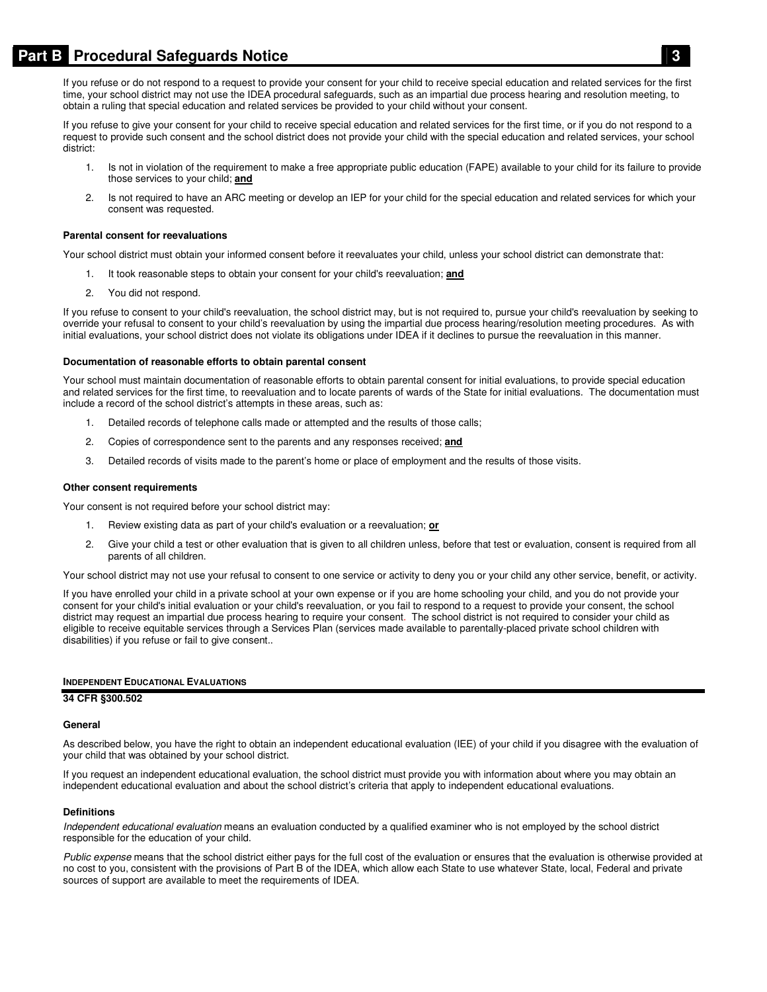If you refuse or do not respond to a request to provide your consent for your child to receive special education and related services for the first time, your school district may not use the IDEA procedural safeguards, such as an impartial due process hearing and resolution meeting, to obtain a ruling that special education and related services be provided to your child without your consent.

If you refuse to give your consent for your child to receive special education and related services for the first time, or if you do not respond to a request to provide such consent and the school district does not provide your child with the special education and related services, your school district:

- 1. Is not in violation of the requirement to make a free appropriate public education (FAPE) available to your child for its failure to provide those services to your child; **and**
- 2. Is not required to have an ARC meeting or develop an IEP for your child for the special education and related services for which your consent was requested.

# **Parental consent for reevaluations**

Your school district must obtain your informed consent before it reevaluates your child, unless your school district can demonstrate that:

- 1. It took reasonable steps to obtain your consent for your child's reevaluation; **and**
- 2. You did not respond.

If you refuse to consent to your child's reevaluation, the school district may, but is not required to, pursue your child's reevaluation by seeking to override your refusal to consent to your child's reevaluation by using the impartial due process hearing/resolution meeting procedures. As with initial evaluations, your school district does not violate its obligations under IDEA if it declines to pursue the reevaluation in this manner.

# **Documentation of reasonable efforts to obtain parental consent**

Your school must maintain documentation of reasonable efforts to obtain parental consent for initial evaluations, to provide special education and related services for the first time, to reevaluation and to locate parents of wards of the State for initial evaluations. The documentation must include a record of the school district's attempts in these areas, such as:

- 1. Detailed records of telephone calls made or attempted and the results of those calls;
- 2. Copies of correspondence sent to the parents and any responses received; **and**
- 3. Detailed records of visits made to the parent's home or place of employment and the results of those visits.

# **Other consent requirements**

Your consent is not required before your school district may:

- 1. Review existing data as part of your child's evaluation or a reevaluation; **or**
- 2. Give your child a test or other evaluation that is given to all children unless, before that test or evaluation, consent is required from all parents of all children.

Your school district may not use your refusal to consent to one service or activity to deny you or your child any other service, benefit, or activity.

If you have enrolled your child in a private school at your own expense or if you are home schooling your child, and you do not provide your consent for your child's initial evaluation or your child's reevaluation, or you fail to respond to a request to provide your consent, the school district may request an impartial due process hearing to require your consent. The school district is not required to consider your child as eligible to receive equitable services through a Services Plan (services made available to parentally-placed private school children with disabilities) if you refuse or fail to give consent..

#### **INDEPENDENT EDUCATIONAL EVALUATIONS**

#### **34 CFR §300.502**

#### **General**

As described below, you have the right to obtain an independent educational evaluation (IEE) of your child if you disagree with the evaluation of your child that was obtained by your school district.

If you request an independent educational evaluation, the school district must provide you with information about where you may obtain an independent educational evaluation and about the school district's criteria that apply to independent educational evaluations.

#### **Definitions**

Independent educational evaluation means an evaluation conducted by a qualified examiner who is not employed by the school district responsible for the education of your child.

Public expense means that the school district either pays for the full cost of the evaluation or ensures that the evaluation is otherwise provided at no cost to you, consistent with the provisions of Part B of the IDEA, which allow each State to use whatever State, local, Federal and private sources of support are available to meet the requirements of IDEA.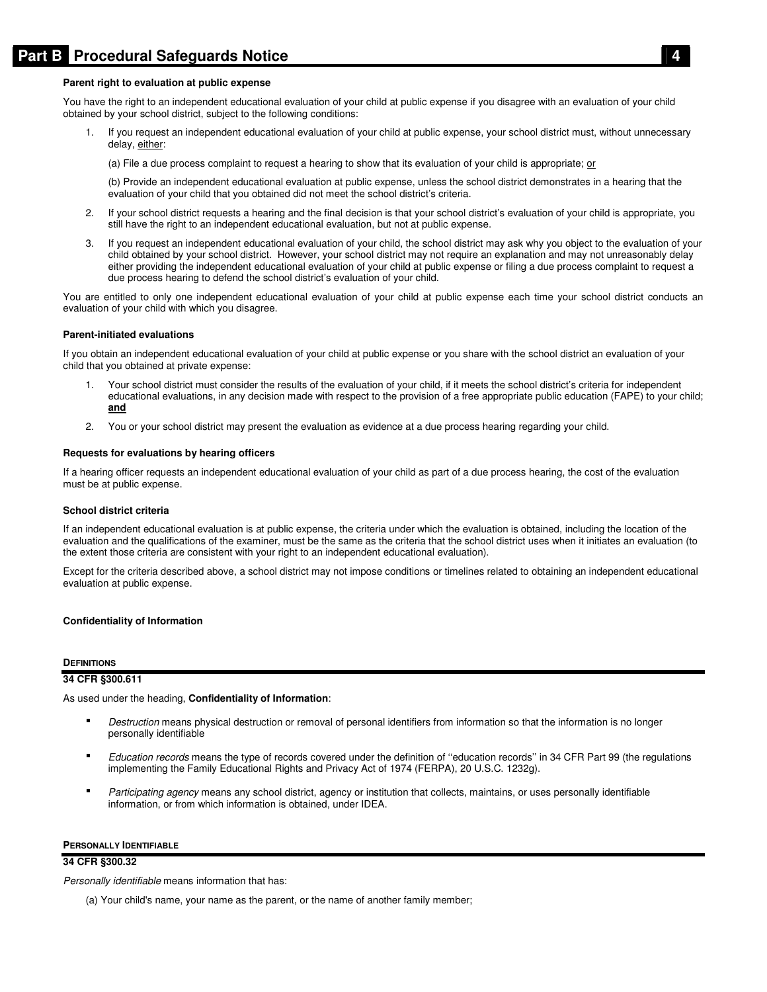#### **Parent right to evaluation at public expense**

You have the right to an independent educational evaluation of your child at public expense if you disagree with an evaluation of your child obtained by your school district, subject to the following conditions:

- 1. If you request an independent educational evaluation of your child at public expense, your school district must, without unnecessary delay, either:
	- (a) File a due process complaint to request a hearing to show that its evaluation of your child is appropriate; or

(b) Provide an independent educational evaluation at public expense, unless the school district demonstrates in a hearing that the evaluation of your child that you obtained did not meet the school district's criteria.

- 2. If your school district requests a hearing and the final decision is that your school district's evaluation of your child is appropriate, you still have the right to an independent educational evaluation, but not at public expense.
- 3. If you request an independent educational evaluation of your child, the school district may ask why you object to the evaluation of your child obtained by your school district. However, your school district may not require an explanation and may not unreasonably delay either providing the independent educational evaluation of your child at public expense or filing a due process complaint to request a due process hearing to defend the school district's evaluation of your child.

You are entitled to only one independent educational evaluation of your child at public expense each time your school district conducts an evaluation of your child with which you disagree.

#### **Parent-initiated evaluations**

If you obtain an independent educational evaluation of your child at public expense or you share with the school district an evaluation of your child that you obtained at private expense:

- 1. Your school district must consider the results of the evaluation of your child, if it meets the school district's criteria for independent educational evaluations, in any decision made with respect to the provision of a free appropriate public education (FAPE) to your child; **and**
- 2. You or your school district may present the evaluation as evidence at a due process hearing regarding your child.

#### **Requests for evaluations by hearing officers**

If a hearing officer requests an independent educational evaluation of your child as part of a due process hearing, the cost of the evaluation must be at public expense.

# **School district criteria**

If an independent educational evaluation is at public expense, the criteria under which the evaluation is obtained, including the location of the evaluation and the qualifications of the examiner, must be the same as the criteria that the school district uses when it initiates an evaluation (to the extent those criteria are consistent with your right to an independent educational evaluation).

Except for the criteria described above, a school district may not impose conditions or timelines related to obtaining an independent educational evaluation at public expense.

## **Confidentiality of Information**

# **DEFINITIONS 34 CFR §300.611**

As used under the heading, **Confidentiality of Information**:

- Destruction means physical destruction or removal of personal identifiers from information so that the information is no longer personally identifiable
- Education records means the type of records covered under the definition of "education records" in 34 CFR Part 99 (the regulations implementing the Family Educational Rights and Privacy Act of 1974 (FERPA), 20 U.S.C. 1232g).
- Participating agency means any school district, agency or institution that collects, maintains, or uses personally identifiable information, or from which information is obtained, under IDEA.

#### **PERSONALLY IDENTIFIABLE**

# **34 CFR §300.32**

Personally identifiable means information that has:

(a) Your child's name, your name as the parent, or the name of another family member;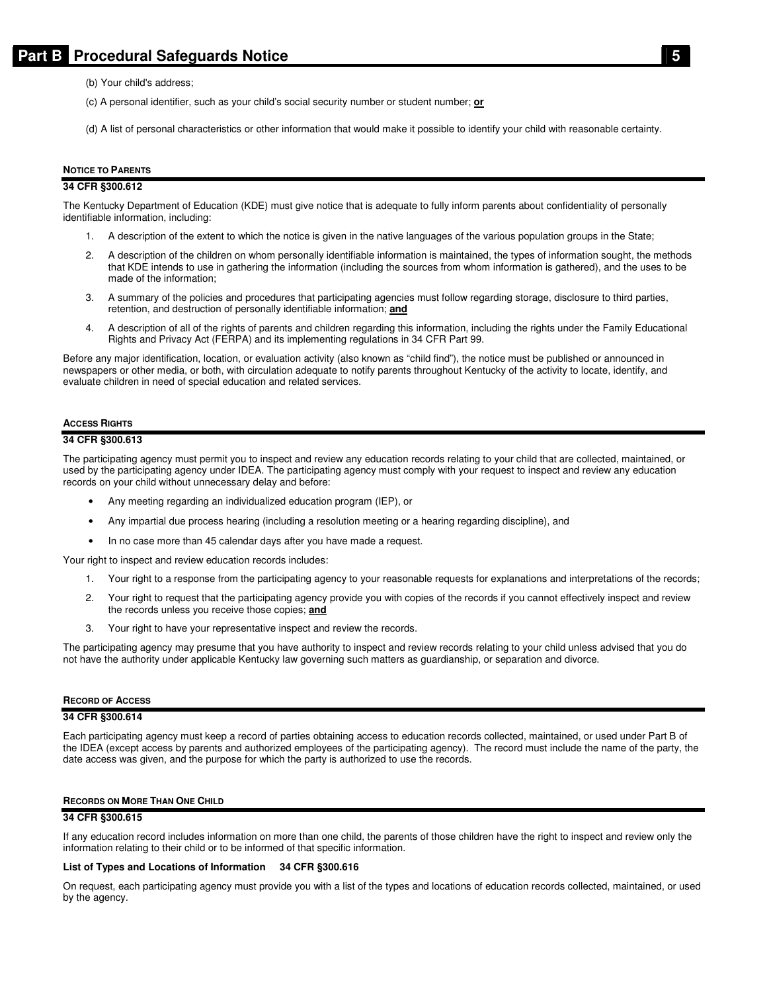- (b) Your child's address;
- (c) A personal identifier, such as your child's social security number or student number; **or**
- (d) A list of personal characteristics or other information that would make it possible to identify your child with reasonable certainty.

# **NOTICE TO PARENTS**

# **34 CFR §300.612**

The Kentucky Department of Education (KDE) must give notice that is adequate to fully inform parents about confidentiality of personally identifiable information, including:

- 1. A description of the extent to which the notice is given in the native languages of the various population groups in the State;
- 2. A description of the children on whom personally identifiable information is maintained, the types of information sought, the methods that KDE intends to use in gathering the information (including the sources from whom information is gathered), and the uses to be made of the information;
- 3. A summary of the policies and procedures that participating agencies must follow regarding storage, disclosure to third parties, retention, and destruction of personally identifiable information; **and**
- 4. A description of all of the rights of parents and children regarding this information, including the rights under the Family Educational Rights and Privacy Act (FERPA) and its implementing regulations in 34 CFR Part 99.

Before any major identification, location, or evaluation activity (also known as "child find"), the notice must be published or announced in newspapers or other media, or both, with circulation adequate to notify parents throughout Kentucky of the activity to locate, identify, and evaluate children in need of special education and related services.

#### **ACCESS RIGHTS**

# **34 CFR §300.613**

The participating agency must permit you to inspect and review any education records relating to your child that are collected, maintained, or used by the participating agency under IDEA. The participating agency must comply with your request to inspect and review any education records on your child without unnecessary delay and before:

- Any meeting regarding an individualized education program (IEP), or
- Any impartial due process hearing (including a resolution meeting or a hearing regarding discipline), and
- In no case more than 45 calendar days after you have made a request.

Your right to inspect and review education records includes:

- 1. Your right to a response from the participating agency to your reasonable requests for explanations and interpretations of the records;
- 2. Your right to request that the participating agency provide you with copies of the records if you cannot effectively inspect and review the records unless you receive those copies; **and**
- 3. Your right to have your representative inspect and review the records.

The participating agency may presume that you have authority to inspect and review records relating to your child unless advised that you do not have the authority under applicable Kentucky law governing such matters as guardianship, or separation and divorce.

#### **RECORD OF ACCESS**

# **34 CFR §300.614**

Each participating agency must keep a record of parties obtaining access to education records collected, maintained, or used under Part B of the IDEA (except access by parents and authorized employees of the participating agency). The record must include the name of the party, the date access was given, and the purpose for which the party is authorized to use the records.

#### **RECORDS ON MORE THAN ONE CHILD**

#### **34 CFR §300.615**

If any education record includes information on more than one child, the parents of those children have the right to inspect and review only the information relating to their child or to be informed of that specific information.

## **List of Types and Locations of Information 34 CFR §300.616**

On request, each participating agency must provide you with a list of the types and locations of education records collected, maintained, or used by the agency.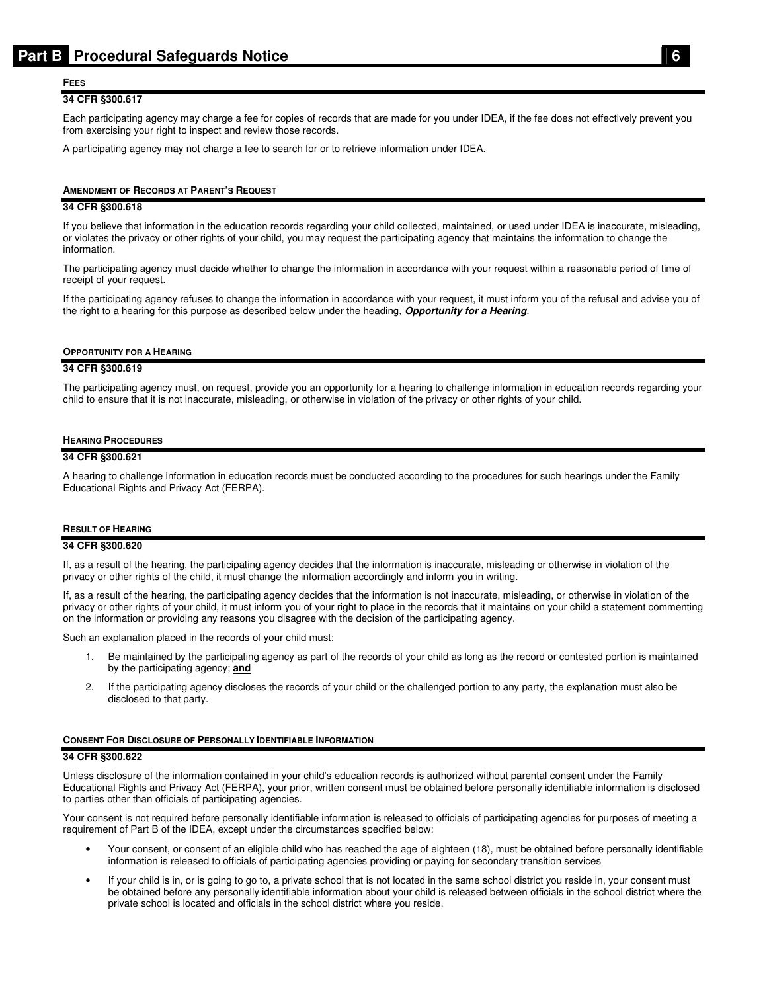# **FEES**

#### **34 CFR §300.617**

Each participating agency may charge a fee for copies of records that are made for you under IDEA, if the fee does not effectively prevent you from exercising your right to inspect and review those records.

A participating agency may not charge a fee to search for or to retrieve information under IDEA.

#### **AMENDMENT OF RECORDS AT PARENT'S REQUEST**

# **34 CFR §300.618**

If you believe that information in the education records regarding your child collected, maintained, or used under IDEA is inaccurate, misleading, or violates the privacy or other rights of your child, you may request the participating agency that maintains the information to change the information.

The participating agency must decide whether to change the information in accordance with your request within a reasonable period of time of receipt of your request.

If the participating agency refuses to change the information in accordance with your request, it must inform you of the refusal and advise you of the right to a hearing for this purpose as described below under the heading, **Opportunity for a Hearing**.

# **OPPORTUNITY FOR A HEARING**

# **34 CFR §300.619**

The participating agency must, on request, provide you an opportunity for a hearing to challenge information in education records regarding your child to ensure that it is not inaccurate, misleading, or otherwise in violation of the privacy or other rights of your child.

#### **HEARING PROCEDURES**

#### **34 CFR §300.621**

A hearing to challenge information in education records must be conducted according to the procedures for such hearings under the Family Educational Rights and Privacy Act (FERPA).

## **RESULT OF HEARING**

# **34 CFR §300.620**

If, as a result of the hearing, the participating agency decides that the information is inaccurate, misleading or otherwise in violation of the privacy or other rights of the child, it must change the information accordingly and inform you in writing.

If, as a result of the hearing, the participating agency decides that the information is not inaccurate, misleading, or otherwise in violation of the privacy or other rights of your child, it must inform you of your right to place in the records that it maintains on your child a statement commenting on the information or providing any reasons you disagree with the decision of the participating agency.

Such an explanation placed in the records of your child must:

- 1. Be maintained by the participating agency as part of the records of your child as long as the record or contested portion is maintained by the participating agency; **and**
- 2. If the participating agency discloses the records of your child or the challenged portion to any party, the explanation must also be disclosed to that party.

#### **CONSENT FOR DISCLOSURE OF PERSONALLY IDENTIFIABLE INFORMATION**

#### **34 CFR §300.622**

Unless disclosure of the information contained in your child's education records is authorized without parental consent under the Family Educational Rights and Privacy Act (FERPA), your prior, written consent must be obtained before personally identifiable information is disclosed to parties other than officials of participating agencies.

Your consent is not required before personally identifiable information is released to officials of participating agencies for purposes of meeting a requirement of Part B of the IDEA, except under the circumstances specified below:

- Your consent, or consent of an eligible child who has reached the age of eighteen (18), must be obtained before personally identifiable information is released to officials of participating agencies providing or paying for secondary transition services
- If your child is in, or is going to go to, a private school that is not located in the same school district you reside in, your consent must be obtained before any personally identifiable information about your child is released between officials in the school district where the private school is located and officials in the school district where you reside.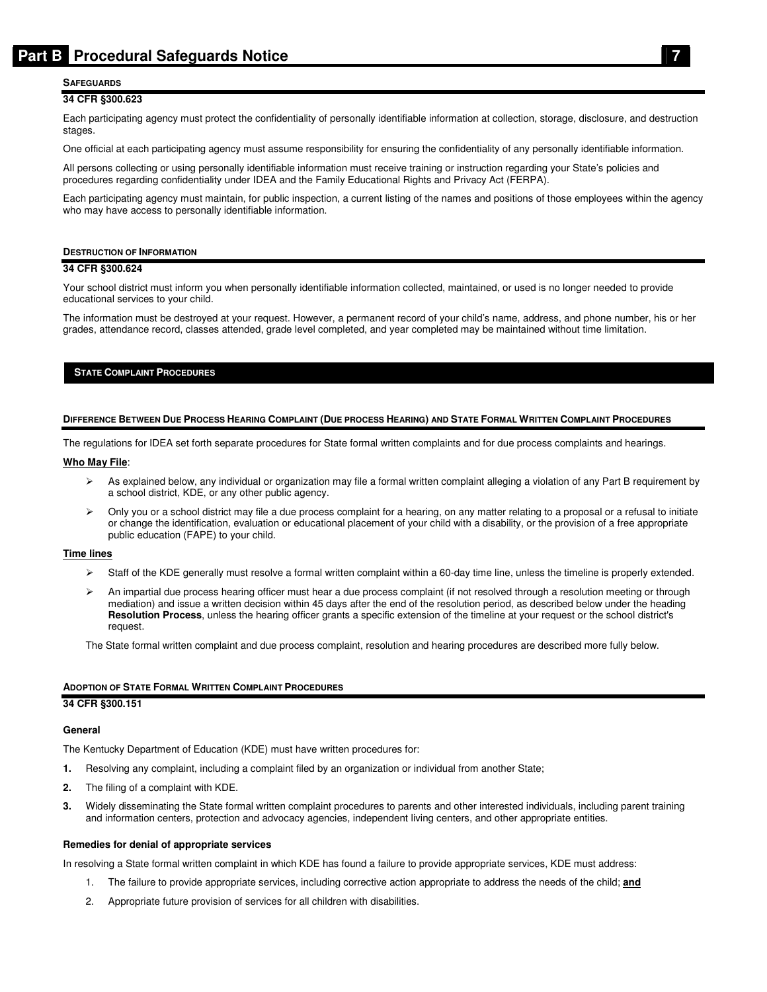# **SAFEGUARDS**

#### **34 CFR §300.623**

Each participating agency must protect the confidentiality of personally identifiable information at collection, storage, disclosure, and destruction stages.

One official at each participating agency must assume responsibility for ensuring the confidentiality of any personally identifiable information.

All persons collecting or using personally identifiable information must receive training or instruction regarding your State's policies and procedures regarding confidentiality under IDEA and the Family Educational Rights and Privacy Act (FERPA).

Each participating agency must maintain, for public inspection, a current listing of the names and positions of those employees within the agency who may have access to personally identifiable information.

# **DESTRUCTION OF INFORMATION**

#### **34 CFR §300.624**

Your school district must inform you when personally identifiable information collected, maintained, or used is no longer needed to provide educational services to your child.

The information must be destroyed at your request. However, a permanent record of your child's name, address, and phone number, his or her grades, attendance record, classes attended, grade level completed, and year completed may be maintained without time limitation.

# **STATE COMPLAINT PROCEDURES**

#### DIFFERENCE BETWEEN DUE PROCESS HEARING COMPLAINT (DUE PROCESS HEARING) AND STATE FORMAL WRITTEN COMPLAINT PROCEDURES

The regulations for IDEA set forth separate procedures for State formal written complaints and for due process complaints and hearings.

#### **Who May File**:

- $\triangleright$  As explained below, any individual or organization may file a formal written complaint alleging a violation of any Part B requirement by a school district, KDE, or any other public agency.
- Only you or a school district may file a due process complaint for a hearing, on any matter relating to a proposal or a refusal to initiate or change the identification, evaluation or educational placement of your child with a disability, or the provision of a free appropriate public education (FAPE) to your child.

#### **Time lines**

- $\triangleright$  Staff of the KDE generally must resolve a formal written complaint within a 60-day time line, unless the timeline is properly extended.
- An impartial due process hearing officer must hear a due process complaint (if not resolved through a resolution meeting or through mediation) and issue a written decision within 45 days after the end of the resolution period, as described below under the heading **Resolution Process**, unless the hearing officer grants a specific extension of the timeline at your request or the school district's request.

The State formal written complaint and due process complaint, resolution and hearing procedures are described more fully below.

#### **ADOPTION OF STATE FORMAL WRITTEN COMPLAINT PROCEDURES**

#### **34 CFR §300.151**

#### **General**

The Kentucky Department of Education (KDE) must have written procedures for:

- **1.** Resolving any complaint, including a complaint filed by an organization or individual from another State;
- **2.** The filing of a complaint with KDE.
- **3.** Widely disseminating the State formal written complaint procedures to parents and other interested individuals, including parent training and information centers, protection and advocacy agencies, independent living centers, and other appropriate entities.

#### **Remedies for denial of appropriate services**

In resolving a State formal written complaint in which KDE has found a failure to provide appropriate services, KDE must address:

- 1. The failure to provide appropriate services, including corrective action appropriate to address the needs of the child; **and**
- 2. Appropriate future provision of services for all children with disabilities.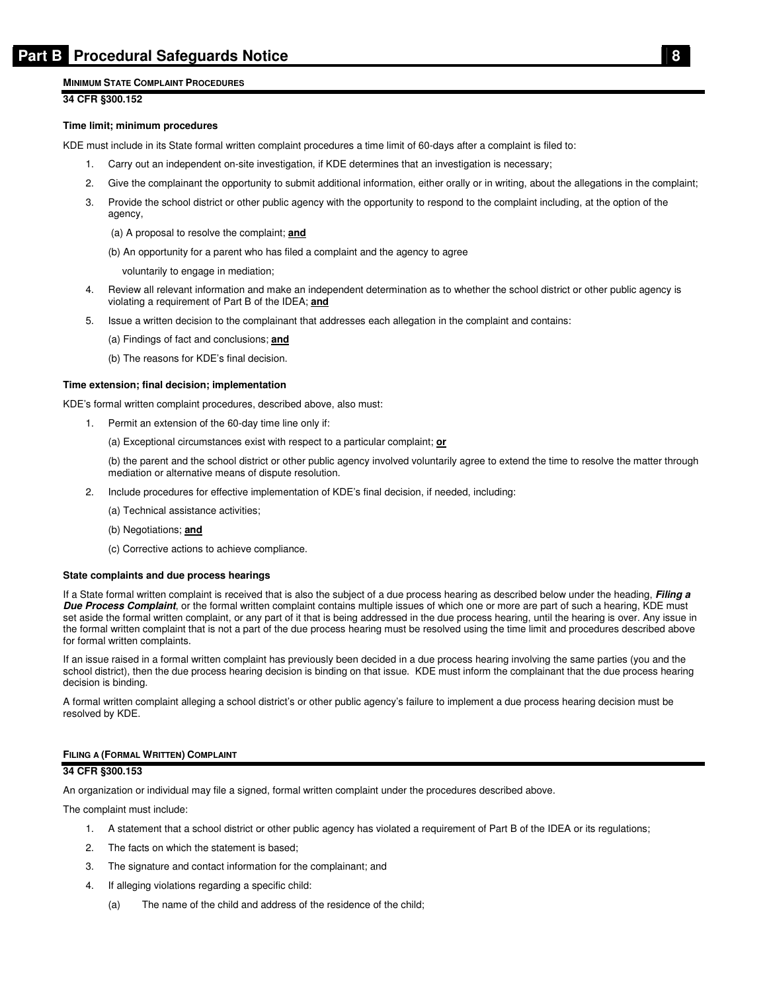# **MINIMUM STATE COMPLAINT PROCEDURES**

#### **34 CFR §300.152**

#### **Time limit; minimum procedures**

KDE must include in its State formal written complaint procedures a time limit of 60-days after a complaint is filed to:

- 1. Carry out an independent on-site investigation, if KDE determines that an investigation is necessary;
- 2. Give the complainant the opportunity to submit additional information, either orally or in writing, about the allegations in the complaint;
- 3. Provide the school district or other public agency with the opportunity to respond to the complaint including, at the option of the agency,
	- (a) A proposal to resolve the complaint; **and**
	- (b) An opportunity for a parent who has filed a complaint and the agency to agree
		- voluntarily to engage in mediation;
- 4. Review all relevant information and make an independent determination as to whether the school district or other public agency is violating a requirement of Part B of the IDEA; **and**
- 5. Issue a written decision to the complainant that addresses each allegation in the complaint and contains:
	- (a) Findings of fact and conclusions; **and**
	- (b) The reasons for KDE's final decision.

#### **Time extension; final decision; implementation**

KDE's formal written complaint procedures, described above, also must:

1. Permit an extension of the 60-day time line only if:

(a) Exceptional circumstances exist with respect to a particular complaint; **or** 

(b) the parent and the school district or other public agency involved voluntarily agree to extend the time to resolve the matter through mediation or alternative means of dispute resolution.

- 2. Include procedures for effective implementation of KDE's final decision, if needed, including:
	- (a) Technical assistance activities;
	- (b) Negotiations; **and**
	- (c) Corrective actions to achieve compliance.

#### **State complaints and due process hearings**

If a State formal written complaint is received that is also the subject of a due process hearing as described below under the heading, **Filing a Due Process Complaint**, or the formal written complaint contains multiple issues of which one or more are part of such a hearing, KDE must set aside the formal written complaint, or any part of it that is being addressed in the due process hearing, until the hearing is over. Any issue in the formal written complaint that is not a part of the due process hearing must be resolved using the time limit and procedures described above for formal written complaints.

If an issue raised in a formal written complaint has previously been decided in a due process hearing involving the same parties (you and the school district), then the due process hearing decision is binding on that issue. KDE must inform the complainant that the due process hearing decision is binding.

A formal written complaint alleging a school district's or other public agency's failure to implement a due process hearing decision must be resolved by KDE.

# **FILING A (FORMAL WRITTEN) COMPLAINT**

# **34 CFR §300.153**

An organization or individual may file a signed, formal written complaint under the procedures described above.

The complaint must include:

- 1. A statement that a school district or other public agency has violated a requirement of Part B of the IDEA or its regulations;
- 2. The facts on which the statement is based;
- 3. The signature and contact information for the complainant; and
- 4. If alleging violations regarding a specific child:
	- (a) The name of the child and address of the residence of the child;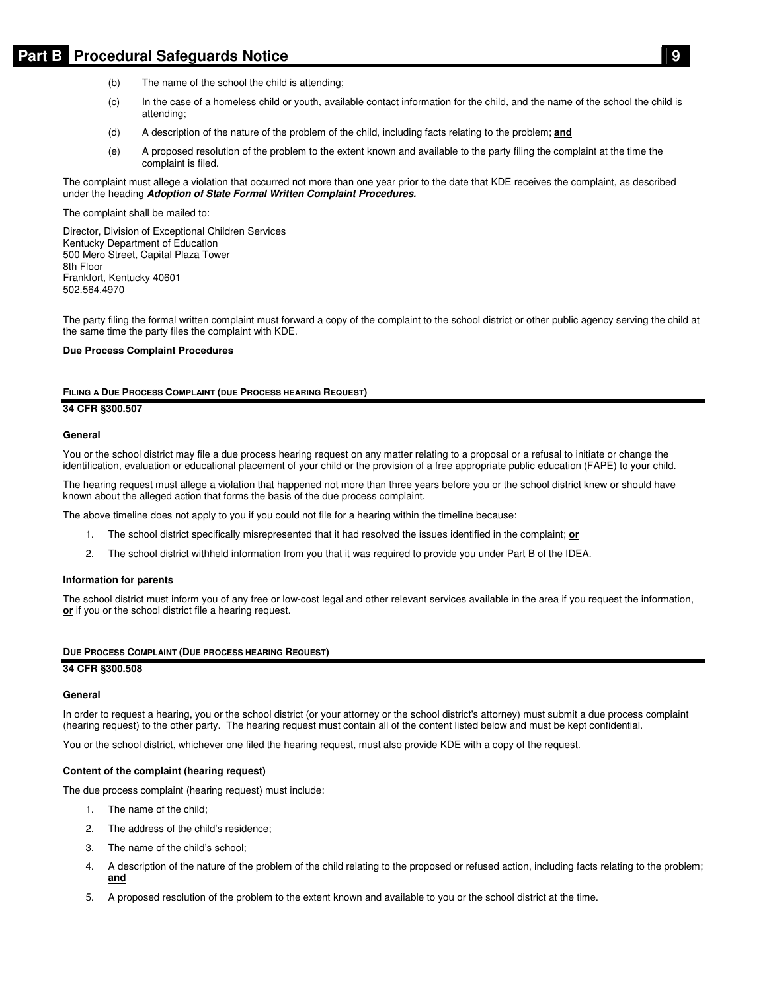- (b) The name of the school the child is attending;
- (c) In the case of a homeless child or youth, available contact information for the child, and the name of the school the child is attending;
- (d) A description of the nature of the problem of the child, including facts relating to the problem; **and**
- (e) A proposed resolution of the problem to the extent known and available to the party filing the complaint at the time the complaint is filed.

The complaint must allege a violation that occurred not more than one year prior to the date that KDE receives the complaint, as described under the heading **Adoption of State Formal Written Complaint Procedures.** 

The complaint shall be mailed to:

Director, Division of Exceptional Children Services Kentucky Department of Education 500 Mero Street, Capital Plaza Tower 8th Floor Frankfort, Kentucky 40601 502.564.4970

The party filing the formal written complaint must forward a copy of the complaint to the school district or other public agency serving the child at the same time the party files the complaint with KDE.

# **Due Process Complaint Procedures**

# **FILING A DUE PROCESS COMPLAINT (DUE PROCESS HEARING REQUEST)**

# **34 CFR §300.507**

# **General**

You or the school district may file a due process hearing request on any matter relating to a proposal or a refusal to initiate or change the identification, evaluation or educational placement of your child or the provision of a free appropriate public education (FAPE) to your child.

The hearing request must allege a violation that happened not more than three years before you or the school district knew or should have known about the alleged action that forms the basis of the due process complaint.

The above timeline does not apply to you if you could not file for a hearing within the timeline because:

- 1. The school district specifically misrepresented that it had resolved the issues identified in the complaint; **or**
- 2. The school district withheld information from you that it was required to provide you under Part B of the IDEA.

#### **Information for parents**

The school district must inform you of any free or low-cost legal and other relevant services available in the area if you request the information, **or** if you or the school district file a hearing request.

#### **DUE PROCESS COMPLAINT (DUE PROCESS HEARING REQUEST)**

# **34 CFR §300.508**

#### **General**

In order to request a hearing, you or the school district (or your attorney or the school district's attorney) must submit a due process complaint (hearing request) to the other party. The hearing request must contain all of the content listed below and must be kept confidential.

You or the school district, whichever one filed the hearing request, must also provide KDE with a copy of the request.

#### **Content of the complaint (hearing request)**

The due process complaint (hearing request) must include:

- 1. The name of the child;
- 2. The address of the child's residence;
- 3. The name of the child's school;
- 4. A description of the nature of the problem of the child relating to the proposed or refused action, including facts relating to the problem; **and**
- 5. A proposed resolution of the problem to the extent known and available to you or the school district at the time.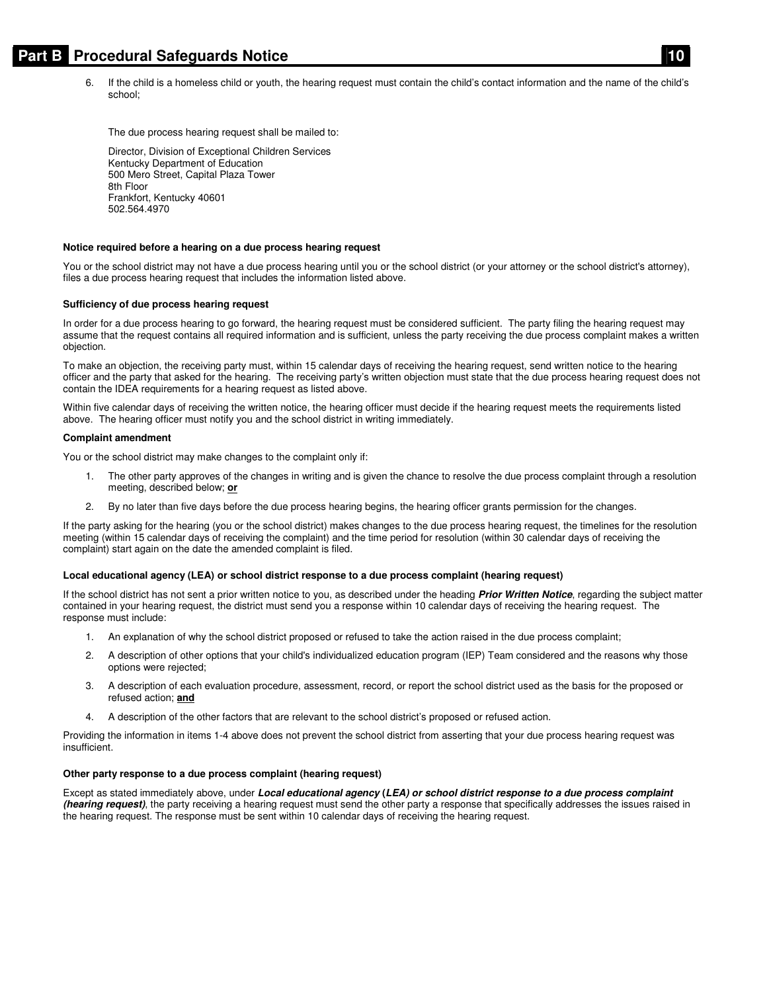6. If the child is a homeless child or youth, the hearing request must contain the child's contact information and the name of the child's school;

The due process hearing request shall be mailed to:

Director, Division of Exceptional Children Services Kentucky Department of Education 500 Mero Street, Capital Plaza Tower 8th Floor Frankfort, Kentucky 40601 502.564.4970

# **Notice required before a hearing on a due process hearing request**

You or the school district may not have a due process hearing until you or the school district (or your attorney or the school district's attorney), files a due process hearing request that includes the information listed above.

# **Sufficiency of due process hearing request**

In order for a due process hearing to go forward, the hearing request must be considered sufficient. The party filing the hearing request may assume that the request contains all required information and is sufficient, unless the party receiving the due process complaint makes a written objection.

To make an objection, the receiving party must, within 15 calendar days of receiving the hearing request, send written notice to the hearing officer and the party that asked for the hearing. The receiving party's written objection must state that the due process hearing request does not contain the IDEA requirements for a hearing request as listed above.

Within five calendar days of receiving the written notice, the hearing officer must decide if the hearing request meets the requirements listed above. The hearing officer must notify you and the school district in writing immediately.

#### **Complaint amendment**

You or the school district may make changes to the complaint only if:

- 1. The other party approves of the changes in writing and is given the chance to resolve the due process complaint through a resolution meeting, described below; **or**
- 2. By no later than five days before the due process hearing begins, the hearing officer grants permission for the changes.

If the party asking for the hearing (you or the school district) makes changes to the due process hearing request, the timelines for the resolution meeting (within 15 calendar days of receiving the complaint) and the time period for resolution (within 30 calendar days of receiving the complaint) start again on the date the amended complaint is filed.

# **Local educational agency (LEA) or school district response to a due process complaint (hearing request)**

If the school district has not sent a prior written notice to you, as described under the heading **Prior Written Notice**, regarding the subject matter contained in your hearing request, the district must send you a response within 10 calendar days of receiving the hearing request. The response must include:

- 1. An explanation of why the school district proposed or refused to take the action raised in the due process complaint;
- 2. A description of other options that your child's individualized education program (IEP) Team considered and the reasons why those options were rejected;
- 3. A description of each evaluation procedure, assessment, record, or report the school district used as the basis for the proposed or refused action; **and**
- 4. A description of the other factors that are relevant to the school district's proposed or refused action.

Providing the information in items 1-4 above does not prevent the school district from asserting that your due process hearing request was insufficient.

# **Other party response to a due process complaint (hearing request)**

Except as stated immediately above, under **Local educational agency (LEA) or school district response to a due process complaint (hearing request)**, the party receiving a hearing request must send the other party a response that specifically addresses the issues raised in the hearing request. The response must be sent within 10 calendar days of receiving the hearing request.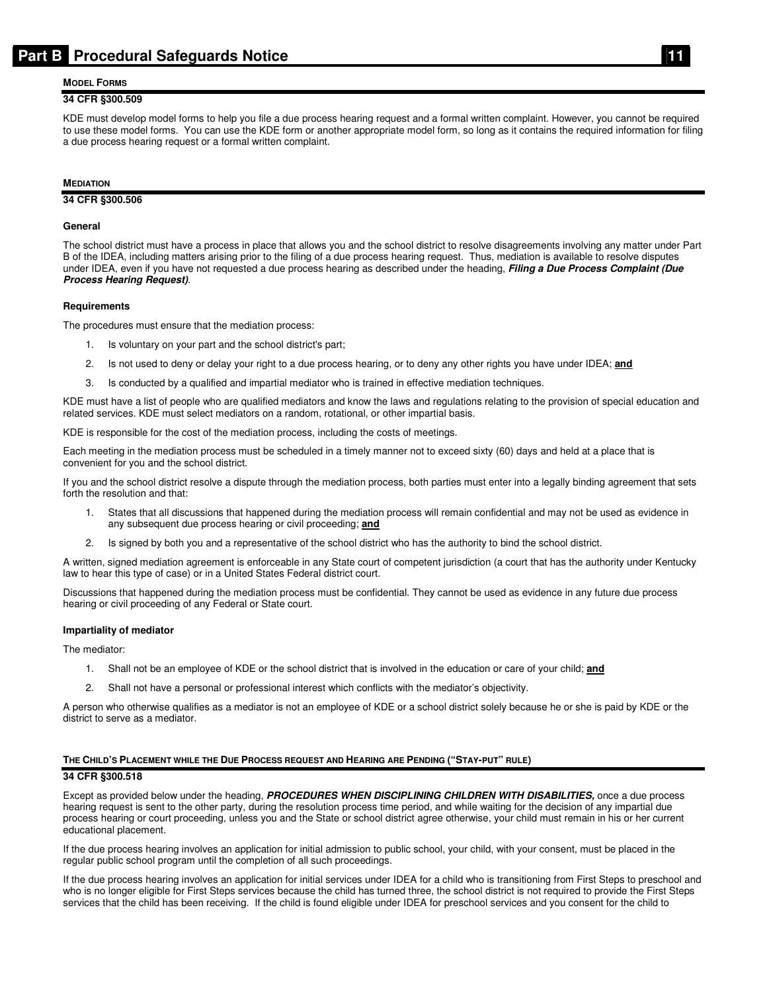# **MODEL FORMS**

#### **34 CFR §300.509**

KDE must develop model forms to help you file a due process hearing request and a formal written complaint. However, you cannot be required to use these model forms. You can use the KDE form or another appropriate model form, so long as it contains the required information for filing a due process hearing request or a formal written complaint.

#### **MEDIATION**

# **34 CFR §300.506**

#### **General**

The school district must have a process in place that allows you and the school district to resolve disagreements involving any matter under Part B of the IDEA, including matters arising prior to the filing of a due process hearing request. Thus, mediation is available to resolve disputes under IDEA, even if you have not requested a due process hearing as described under the heading, **Filing a Due Process Complaint (Due Process Hearing Request)**.

#### **Requirements**

The procedures must ensure that the mediation process:

- 1. Is voluntary on your part and the school district's part;
- 2. Is not used to deny or delay your right to a due process hearing, or to deny any other rights you have under IDEA; **and**
- 3. Is conducted by a qualified and impartial mediator who is trained in effective mediation techniques.

KDE must have a list of people who are qualified mediators and know the laws and regulations relating to the provision of special education and related services. KDE must select mediators on a random, rotational, or other impartial basis.

KDE is responsible for the cost of the mediation process, including the costs of meetings.

Each meeting in the mediation process must be scheduled in a timely manner not to exceed sixty (60) days and held at a place that is convenient for you and the school district.

If you and the school district resolve a dispute through the mediation process, both parties must enter into a legally binding agreement that sets forth the resolution and that:

- States that all discussions that happened during the mediation process will remain confidential and may not be used as evidence in any subsequent due process hearing or civil proceeding; **and**
- 2. Is signed by both you and a representative of the school district who has the authority to bind the school district.

A written, signed mediation agreement is enforceable in any State court of competent jurisdiction (a court that has the authority under Kentucky law to hear this type of case) or in a United States Federal district court.

Discussions that happened during the mediation process must be confidential. They cannot be used as evidence in any future due process hearing or civil proceeding of any Federal or State court.

#### **Impartiality of mediator**

The mediator:

- 1. Shall not be an employee of KDE or the school district that is involved in the education or care of your child; **and**
- 2. Shall not have a personal or professional interest which conflicts with the mediator's objectivity.

A person who otherwise qualifies as a mediator is not an employee of KDE or a school district solely because he or she is paid by KDE or the district to serve as a mediator.

#### THE CHILD'S PLACEMENT WHILE THE DUE PROCESS REQUEST AND HEARING ARE PENDING ("STAY-PUT" RULE)

#### **34 CFR §300.518**

Except as provided below under the heading, **PROCEDURES WHEN DISCIPLINING CHILDREN WITH DISABILITIES,** once a due process hearing request is sent to the other party, during the resolution process time period, and while waiting for the decision of any impartial due process hearing or court proceeding, unless you and the State or school district agree otherwise, your child must remain in his or her current educational placement.

If the due process hearing involves an application for initial admission to public school, your child, with your consent, must be placed in the regular public school program until the completion of all such proceedings.

If the due process hearing involves an application for initial services under IDEA for a child who is transitioning from First Steps to preschool and who is no longer eligible for First Steps services because the child has turned three, the school district is not required to provide the First Steps services that the child has been receiving. If the child is found eligible under IDEA for preschool services and you consent for the child to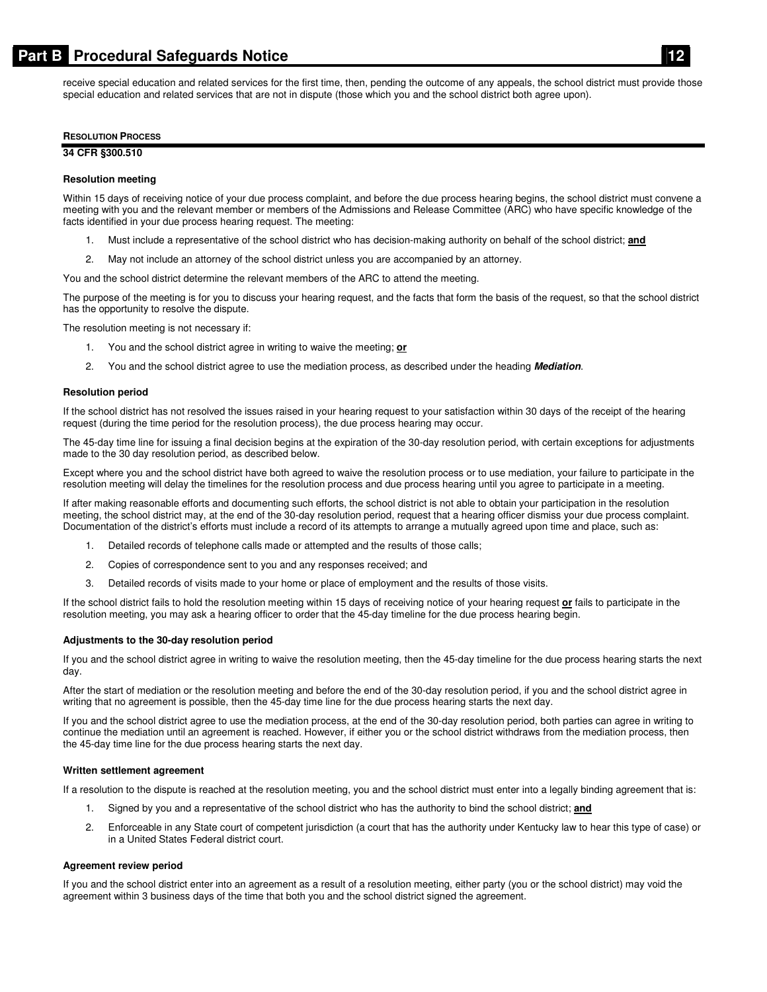receive special education and related services for the first time, then, pending the outcome of any appeals, the school district must provide those special education and related services that are not in dispute (those which you and the school district both agree upon).

#### **RESOLUTION PROCESS**

**34 CFR §300.510** 

# **Resolution meeting**

Within 15 days of receiving notice of your due process complaint, and before the due process hearing begins, the school district must convene a meeting with you and the relevant member or members of the Admissions and Release Committee (ARC) who have specific knowledge of the facts identified in your due process hearing request. The meeting:

- 1. Must include a representative of the school district who has decision-making authority on behalf of the school district; **and**
- 2. May not include an attorney of the school district unless you are accompanied by an attorney.

You and the school district determine the relevant members of the ARC to attend the meeting.

The purpose of the meeting is for you to discuss your hearing request, and the facts that form the basis of the request, so that the school district has the opportunity to resolve the dispute.

The resolution meeting is not necessary if:

- 1. You and the school district agree in writing to waive the meeting; **or**
- 2. You and the school district agree to use the mediation process, as described under the heading **Mediation**.

#### **Resolution period**

If the school district has not resolved the issues raised in your hearing request to your satisfaction within 30 days of the receipt of the hearing request (during the time period for the resolution process), the due process hearing may occur.

The 45-day time line for issuing a final decision begins at the expiration of the 30-day resolution period, with certain exceptions for adjustments made to the 30 day resolution period, as described below.

Except where you and the school district have both agreed to waive the resolution process or to use mediation, your failure to participate in the resolution meeting will delay the timelines for the resolution process and due process hearing until you agree to participate in a meeting.

If after making reasonable efforts and documenting such efforts, the school district is not able to obtain your participation in the resolution meeting, the school district may, at the end of the 30-day resolution period, request that a hearing officer dismiss your due process complaint. Documentation of the district's efforts must include a record of its attempts to arrange a mutually agreed upon time and place, such as:

- 1. Detailed records of telephone calls made or attempted and the results of those calls;
- 2. Copies of correspondence sent to you and any responses received; and
- 3. Detailed records of visits made to your home or place of employment and the results of those visits.

If the school district fails to hold the resolution meeting within 15 days of receiving notice of your hearing request **or** fails to participate in the resolution meeting, you may ask a hearing officer to order that the 45-day timeline for the due process hearing begin.

#### **Adjustments to the 30-day resolution period**

If you and the school district agree in writing to waive the resolution meeting, then the 45-day timeline for the due process hearing starts the next day.

After the start of mediation or the resolution meeting and before the end of the 30-day resolution period, if you and the school district agree in writing that no agreement is possible, then the 45-day time line for the due process hearing starts the next day.

If you and the school district agree to use the mediation process, at the end of the 30-day resolution period, both parties can agree in writing to continue the mediation until an agreement is reached. However, if either you or the school district withdraws from the mediation process, then the 45-day time line for the due process hearing starts the next day.

#### **Written settlement agreement**

If a resolution to the dispute is reached at the resolution meeting, you and the school district must enter into a legally binding agreement that is:

- 1. Signed by you and a representative of the school district who has the authority to bind the school district; **and**
- 2. Enforceable in any State court of competent jurisdiction (a court that has the authority under Kentucky law to hear this type of case) or in a United States Federal district court.

#### **Agreement review period**

If you and the school district enter into an agreement as a result of a resolution meeting, either party (you or the school district) may void the agreement within 3 business days of the time that both you and the school district signed the agreement.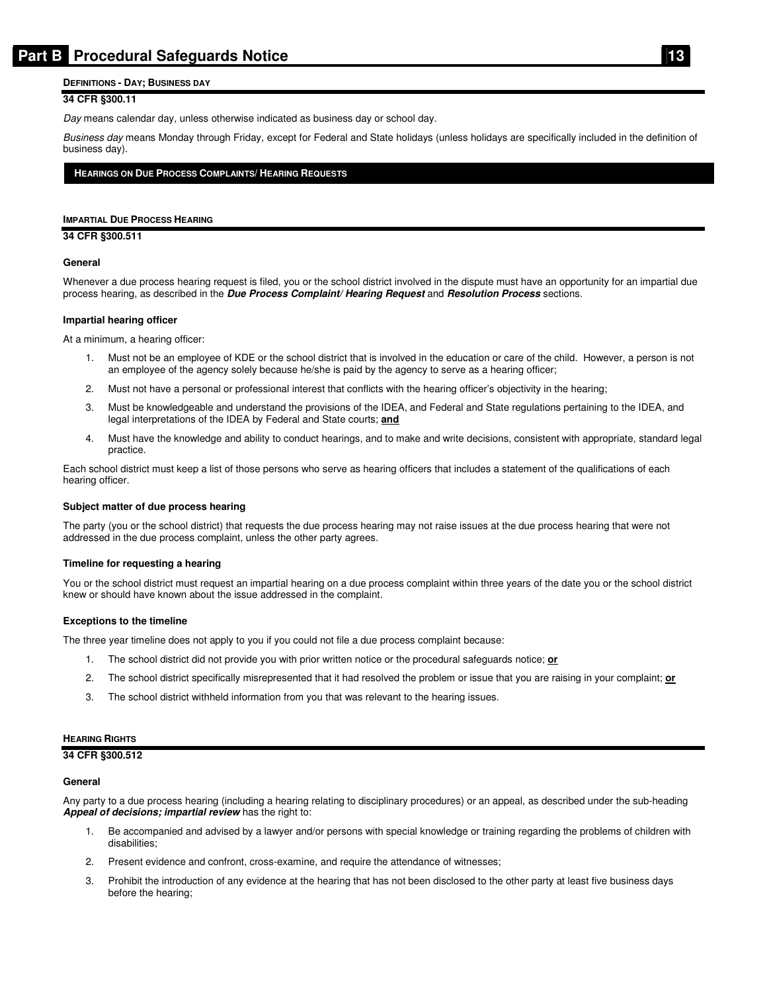# **DEFINITIONS - DAY; BUSINESS DAY**

# **34 CFR §300.11**

Day means calendar day, unless otherwise indicated as business day or school day.

Business day means Monday through Friday, except for Federal and State holidays (unless holidays are specifically included in the definition of business day).

# **HEARINGS ON DUE PROCESS COMPLAINTS/ HEARING REQUESTS**

#### **IMPARTIAL DUE PROCESS HEARING**

**34 CFR §300.511** 

# **General**

Whenever a due process hearing request is filed, you or the school district involved in the dispute must have an opportunity for an impartial due process hearing, as described in the **Due Process Complaint/ Hearing Request** and **Resolution Process** sections.

#### **Impartial hearing officer**

At a minimum, a hearing officer:

- 1. Must not be an employee of KDE or the school district that is involved in the education or care of the child. However, a person is not an employee of the agency solely because he/she is paid by the agency to serve as a hearing officer;
- 2. Must not have a personal or professional interest that conflicts with the hearing officer's objectivity in the hearing;
- 3. Must be knowledgeable and understand the provisions of the IDEA, and Federal and State regulations pertaining to the IDEA, and legal interpretations of the IDEA by Federal and State courts; **and**
- 4. Must have the knowledge and ability to conduct hearings, and to make and write decisions, consistent with appropriate, standard legal practice.

Each school district must keep a list of those persons who serve as hearing officers that includes a statement of the qualifications of each hearing officer.

#### **Subject matter of due process hearing**

The party (you or the school district) that requests the due process hearing may not raise issues at the due process hearing that were not addressed in the due process complaint, unless the other party agrees.

#### **Timeline for requesting a hearing**

You or the school district must request an impartial hearing on a due process complaint within three years of the date you or the school district knew or should have known about the issue addressed in the complaint.

## **Exceptions to the timeline**

The three year timeline does not apply to you if you could not file a due process complaint because:

- 1. The school district did not provide you with prior written notice or the procedural safeguards notice; **or**
- 2. The school district specifically misrepresented that it had resolved the problem or issue that you are raising in your complaint; **or**
- 3. The school district withheld information from you that was relevant to the hearing issues.

#### **HEARING RIGHTS**

# **34 CFR §300.512**

#### **General**

Any party to a due process hearing (including a hearing relating to disciplinary procedures) or an appeal, as described under the sub-heading **Appeal of decisions; impartial review** has the right to:

- 1. Be accompanied and advised by a lawyer and/or persons with special knowledge or training regarding the problems of children with disabilities;
- 2. Present evidence and confront, cross-examine, and require the attendance of witnesses;
- 3. Prohibit the introduction of any evidence at the hearing that has not been disclosed to the other party at least five business days before the hearing;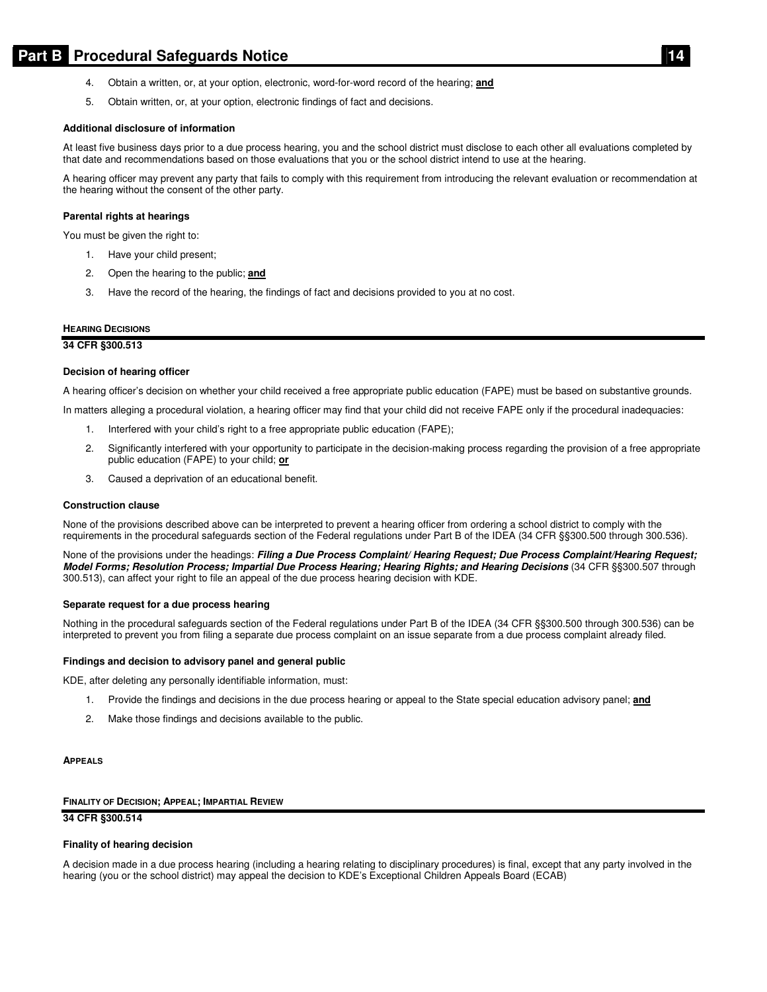- 4. Obtain a written, or, at your option, electronic, word-for-word record of the hearing; **and**
- 5. Obtain written, or, at your option, electronic findings of fact and decisions.

#### **Additional disclosure of information**

At least five business days prior to a due process hearing, you and the school district must disclose to each other all evaluations completed by that date and recommendations based on those evaluations that you or the school district intend to use at the hearing.

A hearing officer may prevent any party that fails to comply with this requirement from introducing the relevant evaluation or recommendation at the hearing without the consent of the other party.

# **Parental rights at hearings**

You must be given the right to:

- 1. Have your child present;
- 2. Open the hearing to the public; **and**
- 3. Have the record of the hearing, the findings of fact and decisions provided to you at no cost.

# **HEARING DECISIONS**

#### **34 CFR §300.513**

# **Decision of hearing officer**

A hearing officer's decision on whether your child received a free appropriate public education (FAPE) must be based on substantive grounds.

- In matters alleging a procedural violation, a hearing officer may find that your child did not receive FAPE only if the procedural inadequacies:
	- 1. Interfered with your child's right to a free appropriate public education (FAPE);
	- 2. Significantly interfered with your opportunity to participate in the decision-making process regarding the provision of a free appropriate public education (FAPE) to your child; **or**
	- 3. Caused a deprivation of an educational benefit.

#### **Construction clause**

None of the provisions described above can be interpreted to prevent a hearing officer from ordering a school district to comply with the requirements in the procedural safeguards section of the Federal regulations under Part B of the IDEA (34 CFR §§300.500 through 300.536).

None of the provisions under the headings: **Filing a Due Process Complaint/ Hearing Request; Due Process Complaint/Hearing Request; Model Forms; Resolution Process; Impartial Due Process Hearing; Hearing Rights; and Hearing Decisions** (34 CFR §§300.507 through 300.513), can affect your right to file an appeal of the due process hearing decision with KDE.

## **Separate request for a due process hearing**

Nothing in the procedural safeguards section of the Federal regulations under Part B of the IDEA (34 CFR §§300.500 through 300.536) can be interpreted to prevent you from filing a separate due process complaint on an issue separate from a due process complaint already filed.

#### **Findings and decision to advisory panel and general public**

KDE, after deleting any personally identifiable information, must:

- 1. Provide the findings and decisions in the due process hearing or appeal to the State special education advisory panel; **and**
- 2. Make those findings and decisions available to the public.

## **APPEALS**

#### **FINALITY OF DECISION; APPEAL; IMPARTIAL REVIEW**

# **34 CFR §300.514**

#### **Finality of hearing decision**

A decision made in a due process hearing (including a hearing relating to disciplinary procedures) is final, except that any party involved in the hearing (you or the school district) may appeal the decision to KDE's Exceptional Children Appeals Board (ECAB)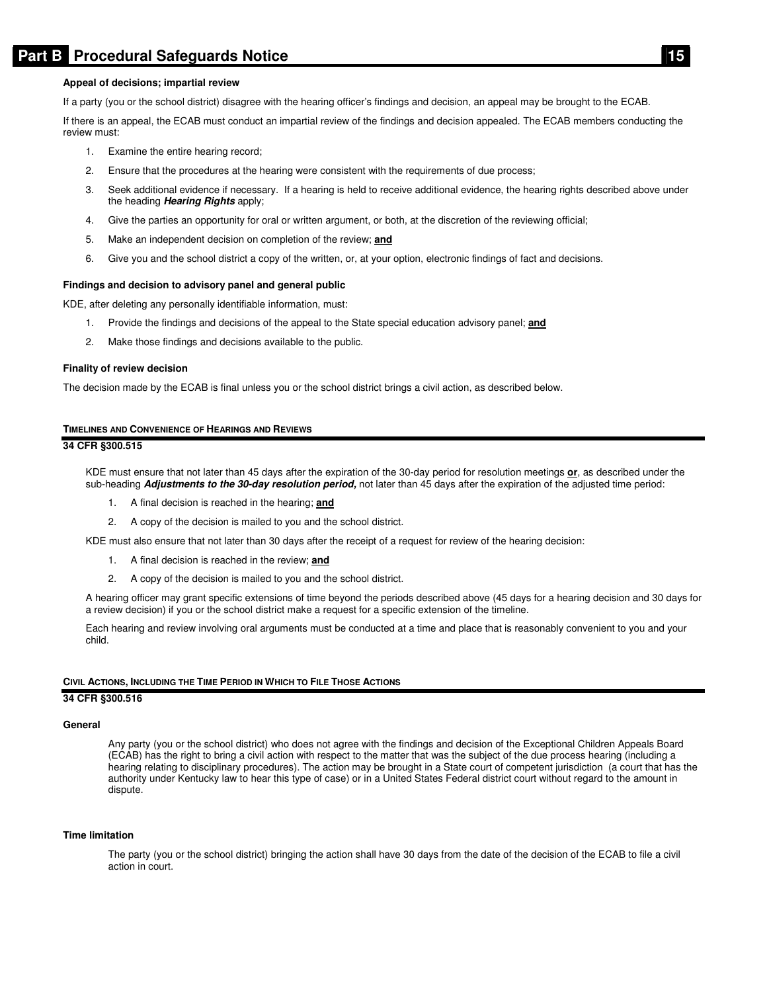# **Appeal of decisions; impartial review**

If a party (you or the school district) disagree with the hearing officer's findings and decision, an appeal may be brought to the ECAB.

If there is an appeal, the ECAB must conduct an impartial review of the findings and decision appealed. The ECAB members conducting the review must:

- 1. Examine the entire hearing record;
- 2. Ensure that the procedures at the hearing were consistent with the requirements of due process;
- 3. Seek additional evidence if necessary. If a hearing is held to receive additional evidence, the hearing rights described above under the heading **Hearing Rights** apply;
- 4. Give the parties an opportunity for oral or written argument, or both, at the discretion of the reviewing official;
- 5. Make an independent decision on completion of the review; **and**
- 6. Give you and the school district a copy of the written, or, at your option, electronic findings of fact and decisions.

# **Findings and decision to advisory panel and general public**

KDE, after deleting any personally identifiable information, must:

- 1. Provide the findings and decisions of the appeal to the State special education advisory panel; **and**
- 2. Make those findings and decisions available to the public.

# **Finality of review decision**

The decision made by the ECAB is final unless you or the school district brings a civil action, as described below.

# **TIMELINES AND CONVENIENCE OF HEARINGS AND REVIEWS**

#### **34 CFR §300.515**

KDE must ensure that not later than 45 days after the expiration of the 30-day period for resolution meetings **or**, as described under the sub-heading **Adjustments to the 30-day resolution period,** not later than 45 days after the expiration of the adjusted time period:

- 1. A final decision is reached in the hearing; **and**
- 2. A copy of the decision is mailed to you and the school district.

KDE must also ensure that not later than 30 days after the receipt of a request for review of the hearing decision:

- 1. A final decision is reached in the review; **and**
- 2. A copy of the decision is mailed to you and the school district.

A hearing officer may grant specific extensions of time beyond the periods described above (45 days for a hearing decision and 30 days for a review decision) if you or the school district make a request for a specific extension of the timeline.

Each hearing and review involving oral arguments must be conducted at a time and place that is reasonably convenient to you and your child.

# **CIVIL ACTIONS, INCLUDING THE TIME PERIOD IN WHICH TO FILE THOSE ACTIONS**

# **34 CFR §300.516**

# **General**

Any party (you or the school district) who does not agree with the findings and decision of the Exceptional Children Appeals Board (ECAB) has the right to bring a civil action with respect to the matter that was the subject of the due process hearing (including a hearing relating to disciplinary procedures). The action may be brought in a State court of competent jurisdiction (a court that has the authority under Kentucky law to hear this type of case) or in a United States Federal district court without regard to the amount in dispute.

#### **Time limitation**

The party (you or the school district) bringing the action shall have 30 days from the date of the decision of the ECAB to file a civil action in court.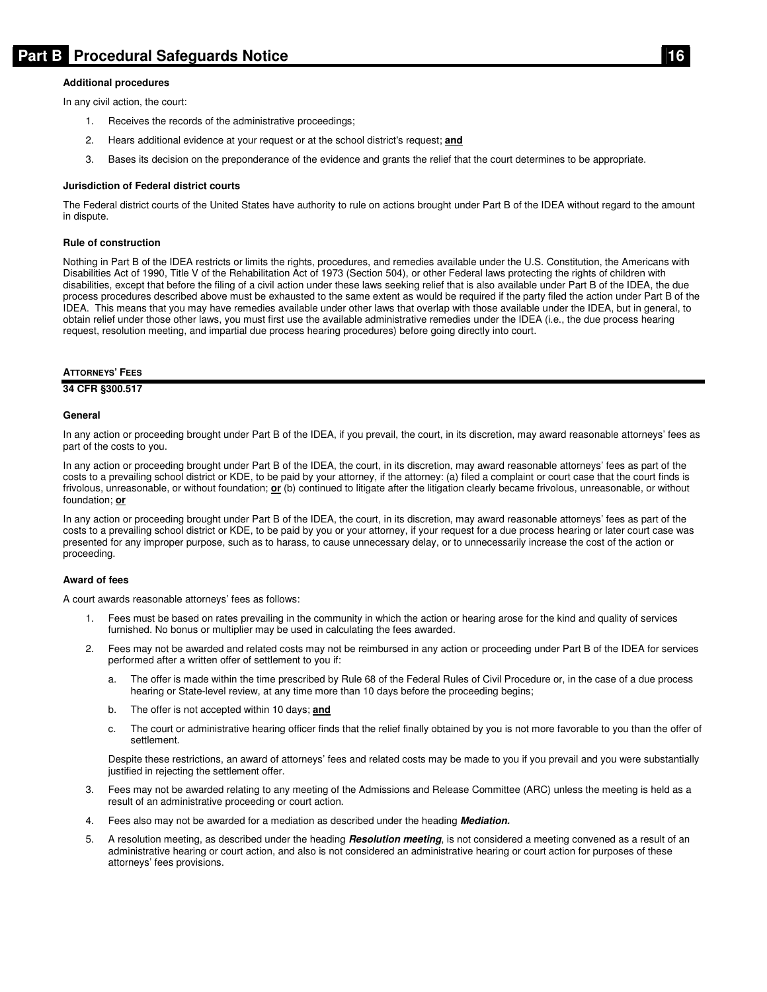# **Additional procedures**

In any civil action, the court:

- 1. Receives the records of the administrative proceedings;
- 2. Hears additional evidence at your request or at the school district's request; **and**
- 3. Bases its decision on the preponderance of the evidence and grants the relief that the court determines to be appropriate.

#### **Jurisdiction of Federal district courts**

The Federal district courts of the United States have authority to rule on actions brought under Part B of the IDEA without regard to the amount in dispute.

# **Rule of construction**

Nothing in Part B of the IDEA restricts or limits the rights, procedures, and remedies available under the U.S. Constitution, the Americans with Disabilities Act of 1990, Title V of the Rehabilitation Act of 1973 (Section 504), or other Federal laws protecting the rights of children with disabilities, except that before the filing of a civil action under these laws seeking relief that is also available under Part B of the IDEA, the due process procedures described above must be exhausted to the same extent as would be required if the party filed the action under Part B of the IDEA. This means that you may have remedies available under other laws that overlap with those available under the IDEA, but in general, to obtain relief under those other laws, you must first use the available administrative remedies under the IDEA (i.e., the due process hearing request, resolution meeting, and impartial due process hearing procedures) before going directly into court.

#### **ATTORNEYS' FEES**

#### **34 CFR §300.517**

#### **General**

In any action or proceeding brought under Part B of the IDEA, if you prevail, the court, in its discretion, may award reasonable attorneys' fees as part of the costs to you.

In any action or proceeding brought under Part B of the IDEA, the court, in its discretion, may award reasonable attorneys' fees as part of the costs to a prevailing school district or KDE, to be paid by your attorney, if the attorney: (a) filed a complaint or court case that the court finds is frivolous, unreasonable, or without foundation; **or** (b) continued to litigate after the litigation clearly became frivolous, unreasonable, or without foundation; **or**

In any action or proceeding brought under Part B of the IDEA, the court, in its discretion, may award reasonable attorneys' fees as part of the costs to a prevailing school district or KDE, to be paid by you or your attorney, if your request for a due process hearing or later court case was presented for any improper purpose, such as to harass, to cause unnecessary delay, or to unnecessarily increase the cost of the action or proceeding.

# **Award of fees**

A court awards reasonable attorneys' fees as follows:

- Fees must be based on rates prevailing in the community in which the action or hearing arose for the kind and quality of services furnished. No bonus or multiplier may be used in calculating the fees awarded.
- 2. Fees may not be awarded and related costs may not be reimbursed in any action or proceeding under Part B of the IDEA for services performed after a written offer of settlement to you if:
	- a. The offer is made within the time prescribed by Rule 68 of the Federal Rules of Civil Procedure or, in the case of a due process hearing or State-level review, at any time more than 10 days before the proceeding begins;
	- b. The offer is not accepted within 10 days; **and**
	- c. The court or administrative hearing officer finds that the relief finally obtained by you is not more favorable to you than the offer of settlement.

Despite these restrictions, an award of attorneys' fees and related costs may be made to you if you prevail and you were substantially justified in rejecting the settlement offer.

- 3. Fees may not be awarded relating to any meeting of the Admissions and Release Committee (ARC) unless the meeting is held as a result of an administrative proceeding or court action.
- 4. Fees also may not be awarded for a mediation as described under the heading **Mediation.**
- 5. A resolution meeting, as described under the heading **Resolution meeting**, is not considered a meeting convened as a result of an administrative hearing or court action, and also is not considered an administrative hearing or court action for purposes of these attorneys' fees provisions.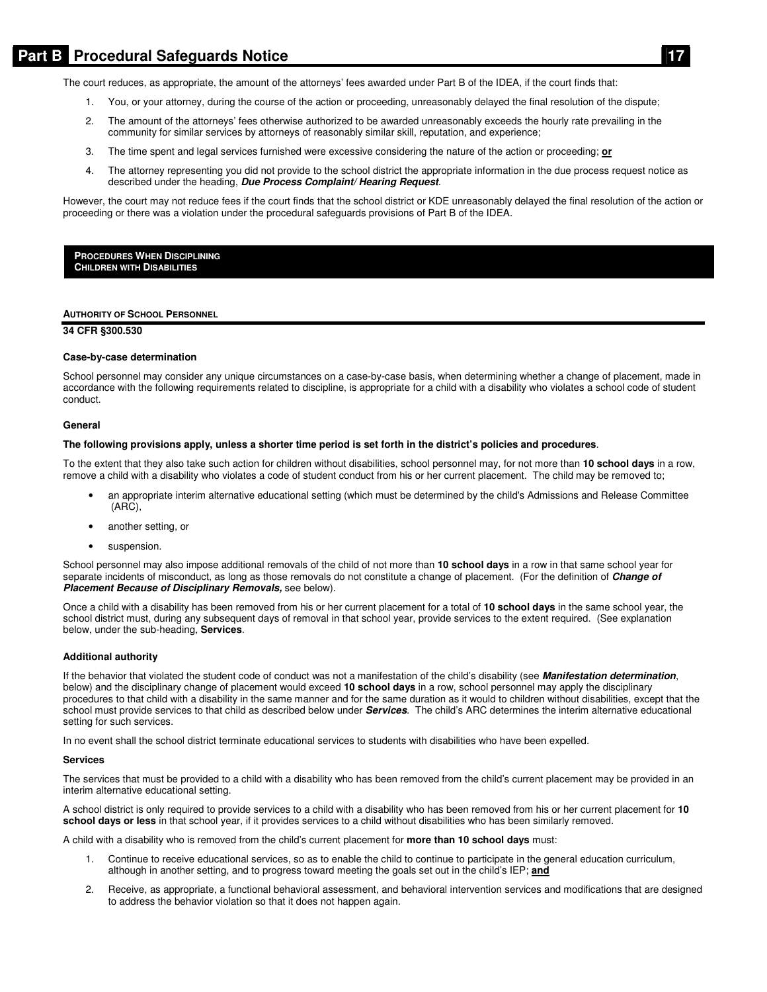The court reduces, as appropriate, the amount of the attorneys' fees awarded under Part B of the IDEA, if the court finds that:

- 1. You, or your attorney, during the course of the action or proceeding, unreasonably delayed the final resolution of the dispute;
- 2. The amount of the attorneys' fees otherwise authorized to be awarded unreasonably exceeds the hourly rate prevailing in the community for similar services by attorneys of reasonably similar skill, reputation, and experience;
- 3. The time spent and legal services furnished were excessive considering the nature of the action or proceeding; **or**
- 4. The attorney representing you did not provide to the school district the appropriate information in the due process request notice as described under the heading, **Due Process Complaint/ Hearing Request**.

However, the court may not reduce fees if the court finds that the school district or KDE unreasonably delayed the final resolution of the action or proceeding or there was a violation under the procedural safeguards provisions of Part B of the IDEA.

**PROCEDURES WHEN DISCIPLINING CHILDREN WITH DISABILITIES**

#### **AUTHORITY OF SCHOOL PERSONNEL**

#### **34 CFR §300.530**

#### **Case-by-case determination**

School personnel may consider any unique circumstances on a case-by-case basis, when determining whether a change of placement, made in accordance with the following requirements related to discipline, is appropriate for a child with a disability who violates a school code of student conduct.

#### **General**

#### **The following provisions apply, unless a shorter time period is set forth in the district's policies and procedures**.

To the extent that they also take such action for children without disabilities, school personnel may, for not more than **10 school days** in a row, remove a child with a disability who violates a code of student conduct from his or her current placement. The child may be removed to;

- an appropriate interim alternative educational setting (which must be determined by the child's Admissions and Release Committee (ARC),
- another setting, or
- suspension.

School personnel may also impose additional removals of the child of not more than **10 school days** in a row in that same school year for separate incidents of misconduct, as long as those removals do not constitute a change of placement. (For the definition of **Change of Placement Because of Disciplinary Removals,** see below).

Once a child with a disability has been removed from his or her current placement for a total of **10 school days** in the same school year, the school district must, during any subsequent days of removal in that school year, provide services to the extent required. (See explanation below, under the sub-heading, **Services**.

#### **Additional authority**

If the behavior that violated the student code of conduct was not a manifestation of the child's disability (see **Manifestation determination**, below) and the disciplinary change of placement would exceed **10 school days** in a row, school personnel may apply the disciplinary procedures to that child with a disability in the same manner and for the same duration as it would to children without disabilities, except that the school must provide services to that child as described below under **Services**. The child's ARC determines the interim alternative educational setting for such services.

In no event shall the school district terminate educational services to students with disabilities who have been expelled.

#### **Services**

The services that must be provided to a child with a disability who has been removed from the child's current placement may be provided in an interim alternative educational setting.

A school district is only required to provide services to a child with a disability who has been removed from his or her current placement for **10 school days or less** in that school year, if it provides services to a child without disabilities who has been similarly removed.

A child with a disability who is removed from the child's current placement for **more than 10 school days** must:

- 1. Continue to receive educational services, so as to enable the child to continue to participate in the general education curriculum, although in another setting, and to progress toward meeting the goals set out in the child's IEP; **and**
- 2. Receive, as appropriate, a functional behavioral assessment, and behavioral intervention services and modifications that are designed to address the behavior violation so that it does not happen again.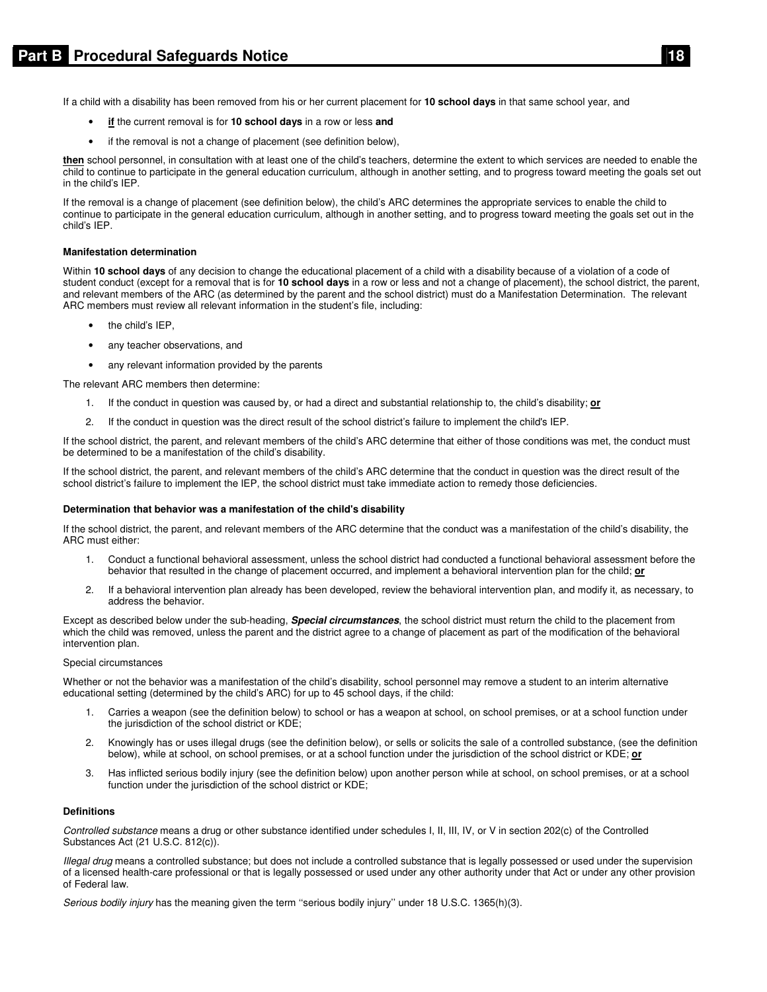If a child with a disability has been removed from his or her current placement for **10 school days** in that same school year, and

- **if** the current removal is for **10 school days** in a row or less **and**
- if the removal is not a change of placement (see definition below),

**then** school personnel, in consultation with at least one of the child's teachers, determine the extent to which services are needed to enable the child to continue to participate in the general education curriculum, although in another setting, and to progress toward meeting the goals set out in the child's IEP.

If the removal is a change of placement (see definition below), the child's ARC determines the appropriate services to enable the child to continue to participate in the general education curriculum, although in another setting, and to progress toward meeting the goals set out in the child's IEP.

#### **Manifestation determination**

Within **10 school days** of any decision to change the educational placement of a child with a disability because of a violation of a code of student conduct (except for a removal that is for **10 school days** in a row or less and not a change of placement), the school district, the parent, and relevant members of the ARC (as determined by the parent and the school district) must do a Manifestation Determination. The relevant ARC members must review all relevant information in the student's file, including:

- the child's IEP,
- any teacher observations, and
- any relevant information provided by the parents

The relevant ARC members then determine:

- 1. If the conduct in question was caused by, or had a direct and substantial relationship to, the child's disability; **or**
- 2. If the conduct in question was the direct result of the school district's failure to implement the child's IEP.

If the school district, the parent, and relevant members of the child's ARC determine that either of those conditions was met, the conduct must be determined to be a manifestation of the child's disability.

If the school district, the parent, and relevant members of the child's ARC determine that the conduct in question was the direct result of the school district's failure to implement the IEP, the school district must take immediate action to remedy those deficiencies.

#### **Determination that behavior was a manifestation of the child's disability**

If the school district, the parent, and relevant members of the ARC determine that the conduct was a manifestation of the child's disability, the ARC must either:

- 1. Conduct a functional behavioral assessment, unless the school district had conducted a functional behavioral assessment before the behavior that resulted in the change of placement occurred, and implement a behavioral intervention plan for the child; **or**
- 2. If a behavioral intervention plan already has been developed, review the behavioral intervention plan, and modify it, as necessary, to address the behavior.

Except as described below under the sub-heading, **Special circumstances**, the school district must return the child to the placement from which the child was removed, unless the parent and the district agree to a change of placement as part of the modification of the behavioral intervention plan.

#### Special circumstances

Whether or not the behavior was a manifestation of the child's disability, school personnel may remove a student to an interim alternative educational setting (determined by the child's ARC) for up to 45 school days, if the child:

- 1. Carries a weapon (see the definition below) to school or has a weapon at school, on school premises, or at a school function under the jurisdiction of the school district or KDE;
- 2. Knowingly has or uses illegal drugs (see the definition below), or sells or solicits the sale of a controlled substance, (see the definition below), while at school, on school premises, or at a school function under the jurisdiction of the school district or KDE; **or**
- 3. Has inflicted serious bodily injury (see the definition below) upon another person while at school, on school premises, or at a school function under the jurisdiction of the school district or KDE;

# **Definitions**

Controlled substance means a drug or other substance identified under schedules I, II, III, IV, or V in section 202(c) of the Controlled Substances Act (21 U.S.C. 812(c)).

Illegal drug means a controlled substance; but does not include a controlled substance that is legally possessed or used under the supervision of a licensed health-care professional or that is legally possessed or used under any other authority under that Act or under any other provision of Federal law.

Serious bodily injury has the meaning given the term "serious bodily injury" under 18 U.S.C. 1365(h)(3).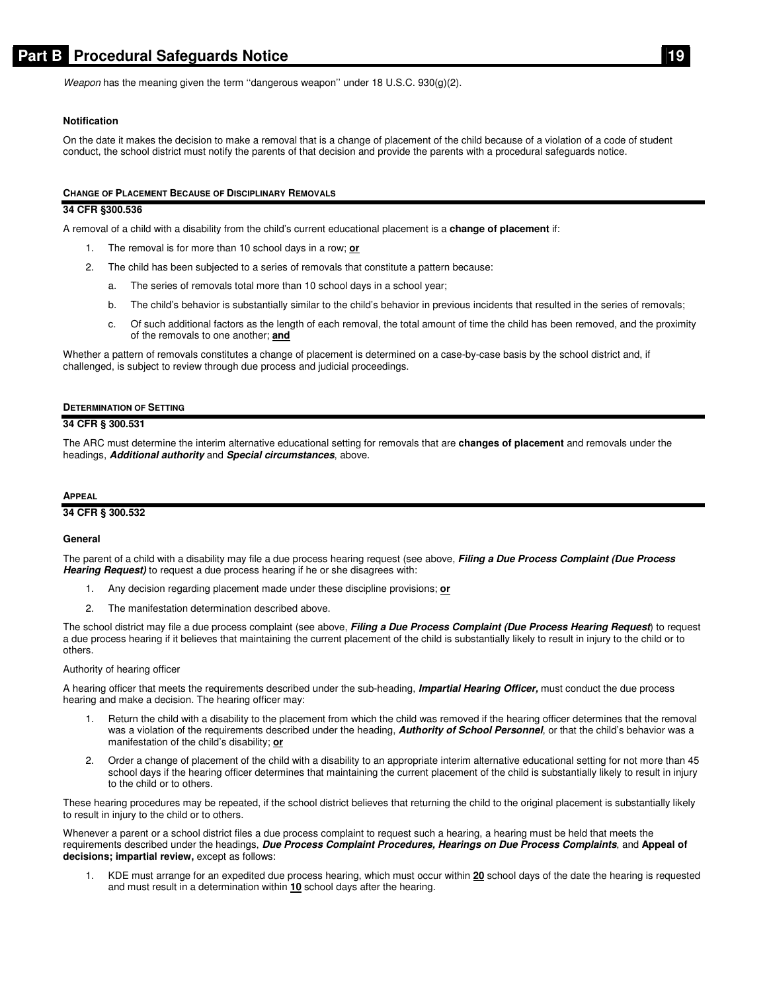Weapon has the meaning given the term "dangerous weapon" under 18 U.S.C.  $930(q)(2)$ .

# **Notification**

On the date it makes the decision to make a removal that is a change of placement of the child because of a violation of a code of student conduct, the school district must notify the parents of that decision and provide the parents with a procedural safeguards notice.

# **CHANGE OF PLACEMENT BECAUSE OF DISCIPLINARY REMOVALS**

# **34 CFR §300.536**

A removal of a child with a disability from the child's current educational placement is a **change of placement** if:

- 1. The removal is for more than 10 school days in a row; **or**
- 2. The child has been subjected to a series of removals that constitute a pattern because:
	- a. The series of removals total more than 10 school days in a school year;
	- b. The child's behavior is substantially similar to the child's behavior in previous incidents that resulted in the series of removals;
	- c. Of such additional factors as the length of each removal, the total amount of time the child has been removed, and the proximity of the removals to one another; **and**

Whether a pattern of removals constitutes a change of placement is determined on a case-by-case basis by the school district and, if challenged, is subject to review through due process and judicial proceedings.

# **DETERMINATION OF SETTING**

# **34 CFR § 300.531**

The ARC must determine the interim alternative educational setting for removals that are **changes of placement** and removals under the headings, **Additional authority** and **Special circumstances**, above.

# **APPEAL**

#### **34 CFR § 300.532**

#### **General**

The parent of a child with a disability may file a due process hearing request (see above, **Filing a Due Process Complaint (Due Process Hearing Request)** to request a due process hearing if he or she disagrees with:

- 1. Any decision regarding placement made under these discipline provisions; **or**
- 2. The manifestation determination described above.

The school district may file a due process complaint (see above, **Filing a Due Process Complaint (Due Process Hearing Request**) to request a due process hearing if it believes that maintaining the current placement of the child is substantially likely to result in injury to the child or to others.

#### Authority of hearing officer

A hearing officer that meets the requirements described under the sub-heading, **Impartial Hearing Officer,** must conduct the due process hearing and make a decision. The hearing officer may:

- 1. Return the child with a disability to the placement from which the child was removed if the hearing officer determines that the removal was a violation of the requirements described under the heading, **Authority of School Personnel**, or that the child's behavior was a manifestation of the child's disability; **or**
- 2. Order a change of placement of the child with a disability to an appropriate interim alternative educational setting for not more than 45 school days if the hearing officer determines that maintaining the current placement of the child is substantially likely to result in injury to the child or to others.

These hearing procedures may be repeated, if the school district believes that returning the child to the original placement is substantially likely to result in injury to the child or to others.

Whenever a parent or a school district files a due process complaint to request such a hearing, a hearing must be held that meets the requirements described under the headings, **Due Process Complaint Procedures, Hearings on Due Process Complaints**, and **Appeal of decisions; impartial review,** except as follows:

1. KDE must arrange for an expedited due process hearing, which must occur within **20** school days of the date the hearing is requested and must result in a determination within **10** school days after the hearing.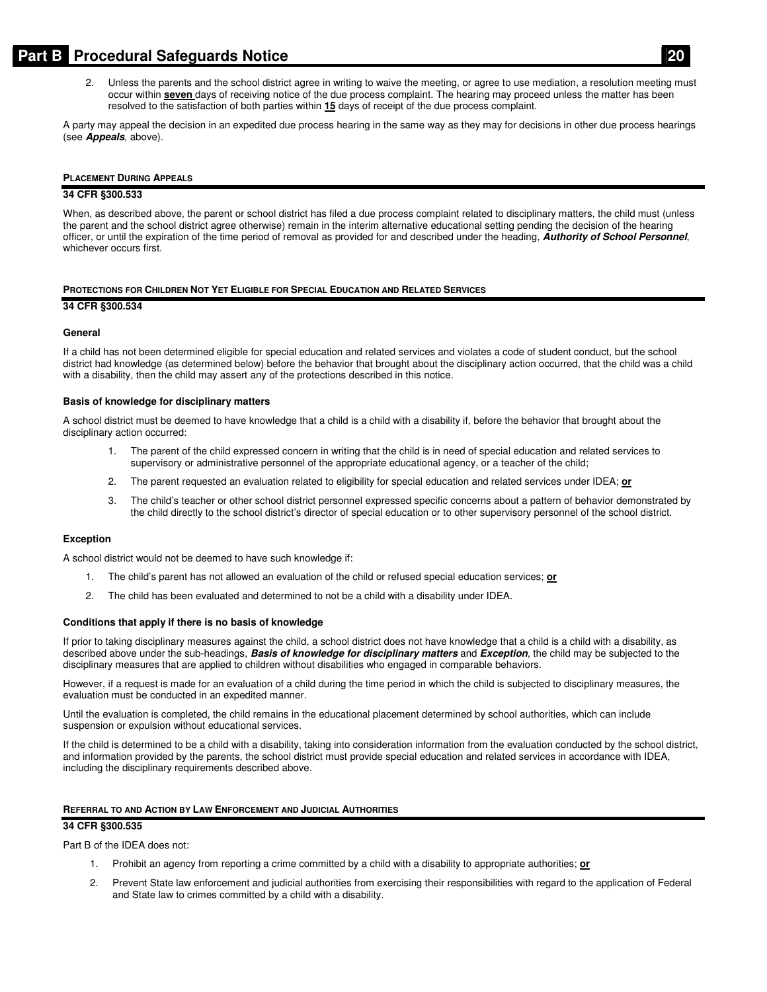2. Unless the parents and the school district agree in writing to waive the meeting, or agree to use mediation, a resolution meeting must occur within **seven** days of receiving notice of the due process complaint. The hearing may proceed unless the matter has been resolved to the satisfaction of both parties within **15** days of receipt of the due process complaint.

A party may appeal the decision in an expedited due process hearing in the same way as they may for decisions in other due process hearings (see **Appeals**, above).

# **PLACEMENT DURING APPEALS**

# **34 CFR §300.533**

When, as described above, the parent or school district has filed a due process complaint related to disciplinary matters, the child must (unless the parent and the school district agree otherwise) remain in the interim alternative educational setting pending the decision of the hearing officer, or until the expiration of the time period of removal as provided for and described under the heading, **Authority of School Personnel**, whichever occurs first.

# **PROTECTIONS FOR CHILDREN NOT YET ELIGIBLE FOR SPECIAL EDUCATION AND RELATED SERVICES**

# **34 CFR §300.534**

# **General**

If a child has not been determined eligible for special education and related services and violates a code of student conduct, but the school district had knowledge (as determined below) before the behavior that brought about the disciplinary action occurred, that the child was a child with a disability, then the child may assert any of the protections described in this notice.

# **Basis of knowledge for disciplinary matters**

A school district must be deemed to have knowledge that a child is a child with a disability if, before the behavior that brought about the disciplinary action occurred:

- 1. The parent of the child expressed concern in writing that the child is in need of special education and related services to supervisory or administrative personnel of the appropriate educational agency, or a teacher of the child;
- 2. The parent requested an evaluation related to eligibility for special education and related services under IDEA; **or**
- 3. The child's teacher or other school district personnel expressed specific concerns about a pattern of behavior demonstrated by the child directly to the school district's director of special education or to other supervisory personnel of the school district.

#### **Exception**

A school district would not be deemed to have such knowledge if:

- 1. The child's parent has not allowed an evaluation of the child or refused special education services; **or**
- 2. The child has been evaluated and determined to not be a child with a disability under IDEA.

#### **Conditions that apply if there is no basis of knowledge**

If prior to taking disciplinary measures against the child, a school district does not have knowledge that a child is a child with a disability, as described above under the sub-headings, **Basis of knowledge for disciplinary matters** and **Exception**, the child may be subjected to the disciplinary measures that are applied to children without disabilities who engaged in comparable behaviors.

However, if a request is made for an evaluation of a child during the time period in which the child is subjected to disciplinary measures, the evaluation must be conducted in an expedited manner.

Until the evaluation is completed, the child remains in the educational placement determined by school authorities, which can include suspension or expulsion without educational services.

If the child is determined to be a child with a disability, taking into consideration information from the evaluation conducted by the school district, and information provided by the parents, the school district must provide special education and related services in accordance with IDEA, including the disciplinary requirements described above.

# **REFERRAL TO AND ACTION BY LAW ENFORCEMENT AND JUDICIAL AUTHORITIES**

# **34 CFR §300.535**

Part B of the IDEA does not:

- 1. Prohibit an agency from reporting a crime committed by a child with a disability to appropriate authorities; **or**
- 2. Prevent State law enforcement and judicial authorities from exercising their responsibilities with regard to the application of Federal and State law to crimes committed by a child with a disability.